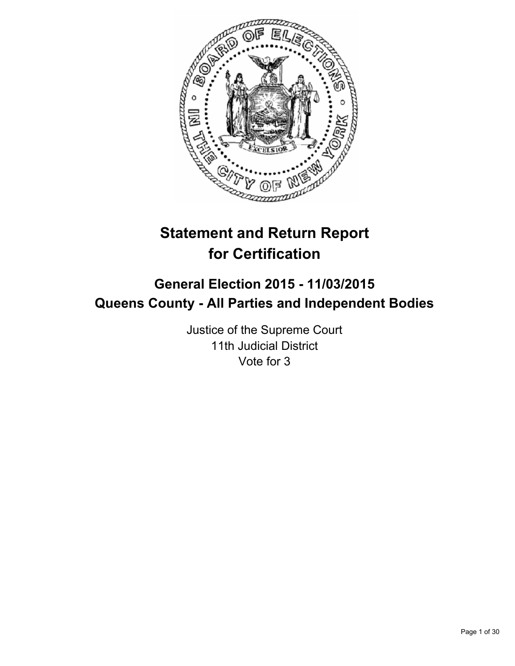

# **Statement and Return Report for Certification**

## **General Election 2015 - 11/03/2015 Queens County - All Parties and Independent Bodies**

Justice of the Supreme Court 11th Judicial District Vote for 3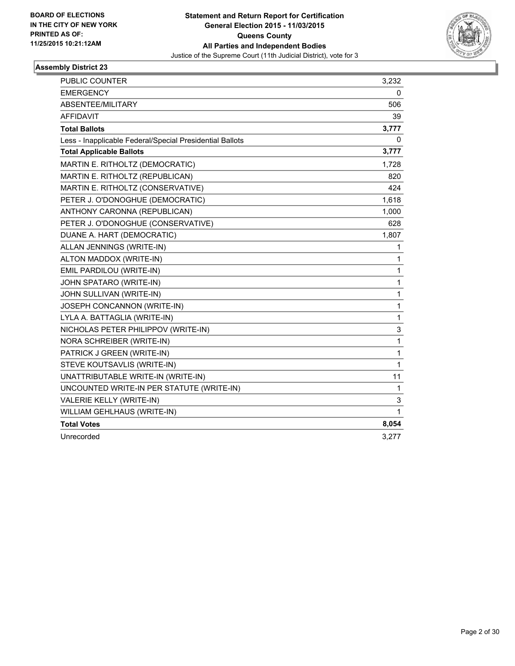

| <b>PUBLIC COUNTER</b>                                    | 3,232        |
|----------------------------------------------------------|--------------|
| <b>EMERGENCY</b>                                         | 0            |
| ABSENTEE/MILITARY                                        | 506          |
| <b>AFFIDAVIT</b>                                         | 39           |
| <b>Total Ballots</b>                                     | 3,777        |
| Less - Inapplicable Federal/Special Presidential Ballots | 0            |
| <b>Total Applicable Ballots</b>                          | 3,777        |
| MARTIN E. RITHOLTZ (DEMOCRATIC)                          | 1,728        |
| MARTIN E. RITHOLTZ (REPUBLICAN)                          | 820          |
| MARTIN E. RITHOLTZ (CONSERVATIVE)                        | 424          |
| PETER J. O'DONOGHUE (DEMOCRATIC)                         | 1,618        |
| ANTHONY CARONNA (REPUBLICAN)                             | 1,000        |
| PETER J. O'DONOGHUE (CONSERVATIVE)                       | 628          |
| DUANE A. HART (DEMOCRATIC)                               | 1,807        |
| ALLAN JENNINGS (WRITE-IN)                                | 1            |
| ALTON MADDOX (WRITE-IN)                                  | 1            |
| EMIL PARDILOU (WRITE-IN)                                 | $\mathbf 1$  |
| JOHN SPATARO (WRITE-IN)                                  | $\mathbf{1}$ |
| JOHN SULLIVAN (WRITE-IN)                                 | $\mathbf{1}$ |
| JOSEPH CONCANNON (WRITE-IN)                              | $\mathbf{1}$ |
| LYLA A. BATTAGLIA (WRITE-IN)                             | $\mathbf{1}$ |
| NICHOLAS PETER PHILIPPOV (WRITE-IN)                      | 3            |
| NORA SCHREIBER (WRITE-IN)                                | $\mathbf{1}$ |
| PATRICK J GREEN (WRITE-IN)                               | 1            |
| STEVE KOUTSAVLIS (WRITE-IN)                              | $\mathbf{1}$ |
| UNATTRIBUTABLE WRITE-IN (WRITE-IN)                       | 11           |
| UNCOUNTED WRITE-IN PER STATUTE (WRITE-IN)                | 1            |
| VALERIE KELLY (WRITE-IN)                                 | 3            |
| WILLIAM GEHLHAUS (WRITE-IN)                              | 1            |
| <b>Total Votes</b>                                       | 8,054        |
| Unrecorded                                               | 3,277        |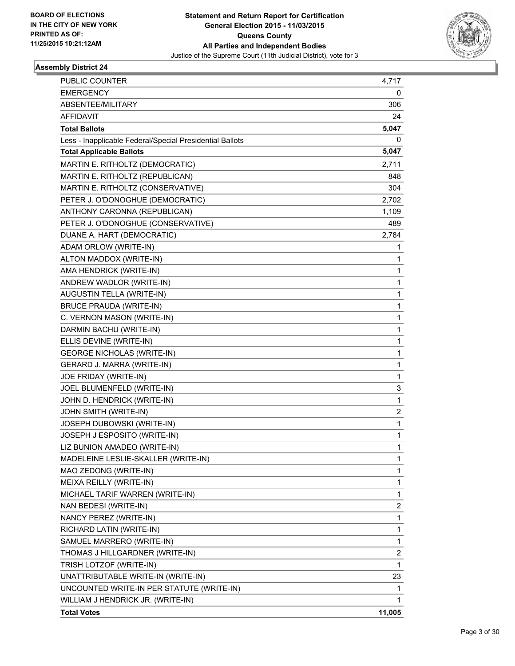

| PUBLIC COUNTER                                           | 4,717                   |
|----------------------------------------------------------|-------------------------|
| <b>EMERGENCY</b>                                         | 0                       |
| ABSENTEE/MILITARY                                        | 306                     |
| <b>AFFIDAVIT</b>                                         | 24                      |
| <b>Total Ballots</b>                                     | 5,047                   |
| Less - Inapplicable Federal/Special Presidential Ballots | 0                       |
| <b>Total Applicable Ballots</b>                          | 5,047                   |
| MARTIN E. RITHOLTZ (DEMOCRATIC)                          | 2,711                   |
| MARTIN E. RITHOLTZ (REPUBLICAN)                          | 848                     |
| MARTIN E. RITHOLTZ (CONSERVATIVE)                        | 304                     |
| PETER J. O'DONOGHUE (DEMOCRATIC)                         | 2,702                   |
| ANTHONY CARONNA (REPUBLICAN)                             | 1,109                   |
| PETER J. O'DONOGHUE (CONSERVATIVE)                       | 489                     |
| DUANE A. HART (DEMOCRATIC)                               | 2,784                   |
| ADAM ORLOW (WRITE-IN)                                    | 1                       |
| ALTON MADDOX (WRITE-IN)                                  | 1                       |
| AMA HENDRICK (WRITE-IN)                                  | 1                       |
| ANDREW WADLOR (WRITE-IN)                                 | 1                       |
| AUGUSTIN TELLA (WRITE-IN)                                | 1                       |
| <b>BRUCE PRAUDA (WRITE-IN)</b>                           | 1                       |
| C. VERNON MASON (WRITE-IN)                               | 1                       |
| DARMIN BACHU (WRITE-IN)                                  | 1                       |
| ELLIS DEVINE (WRITE-IN)                                  | 1                       |
| <b>GEORGE NICHOLAS (WRITE-IN)</b>                        | 1                       |
| GERARD J. MARRA (WRITE-IN)                               | 1                       |
| JOE FRIDAY (WRITE-IN)                                    | 1                       |
| JOEL BLUMENFELD (WRITE-IN)                               | 3                       |
| JOHN D. HENDRICK (WRITE-IN)                              | 1                       |
| JOHN SMITH (WRITE-IN)                                    | $\overline{\mathbf{c}}$ |
| JOSEPH DUBOWSKI (WRITE-IN)                               | 1                       |
| JOSEPH J ESPOSITO (WRITE-IN)                             | 1                       |
| LIZ BUNION AMADEO (WRITE-IN)                             | 1                       |
| MADELEINE LESLIE-SKALLER (WRITE-IN)                      | 1                       |
| MAO ZEDONG (WRITE-IN)                                    | 1                       |
| MEIXA REILLY (WRITE-IN)                                  | 1                       |
| MICHAEL TARIF WARREN (WRITE-IN)                          | 1                       |
| NAN BEDESI (WRITE-IN)                                    | 2                       |
| NANCY PEREZ (WRITE-IN)                                   | 1                       |
| RICHARD LATIN (WRITE-IN)                                 | 1                       |
| SAMUEL MARRERO (WRITE-IN)                                | 1                       |
| THOMAS J HILLGARDNER (WRITE-IN)                          | $\overline{\mathbf{c}}$ |
| TRISH LOTZOF (WRITE-IN)                                  | 1                       |
| UNATTRIBUTABLE WRITE-IN (WRITE-IN)                       | 23                      |
| UNCOUNTED WRITE-IN PER STATUTE (WRITE-IN)                | 1                       |
| WILLIAM J HENDRICK JR. (WRITE-IN)                        | 1                       |
| <b>Total Votes</b>                                       | 11,005                  |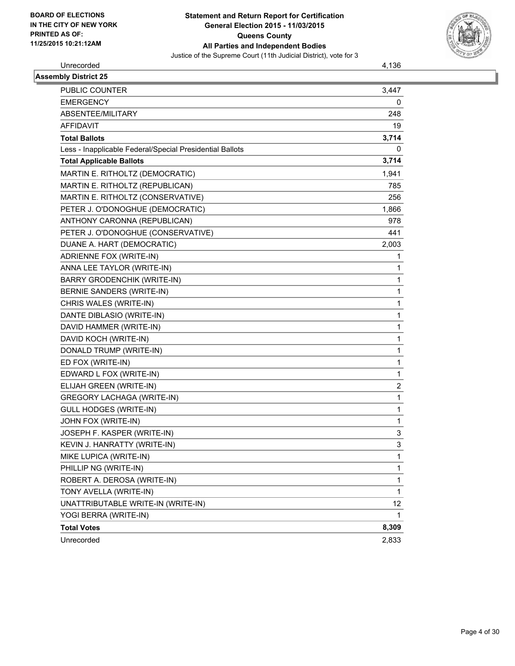

Unrecorded 4,136

| <b>Assembly District 25</b>                              |                |
|----------------------------------------------------------|----------------|
| <b>PUBLIC COUNTER</b>                                    | 3,447          |
| <b>EMERGENCY</b>                                         | 0              |
| ABSENTEE/MILITARY                                        | 248            |
| <b>AFFIDAVIT</b>                                         | 19             |
| <b>Total Ballots</b>                                     | 3,714          |
| Less - Inapplicable Federal/Special Presidential Ballots | 0              |
| <b>Total Applicable Ballots</b>                          | 3,714          |
| MARTIN E. RITHOLTZ (DEMOCRATIC)                          | 1,941          |
| MARTIN E. RITHOLTZ (REPUBLICAN)                          | 785            |
| MARTIN E. RITHOLTZ (CONSERVATIVE)                        | 256            |
| PETER J. O'DONOGHUE (DEMOCRATIC)                         | 1,866          |
| ANTHONY CARONNA (REPUBLICAN)                             | 978            |
| PETER J. O'DONOGHUE (CONSERVATIVE)                       | 441            |
| DUANE A. HART (DEMOCRATIC)                               | 2,003          |
| ADRIENNE FOX (WRITE-IN)                                  | 1.             |
| ANNA LEE TAYLOR (WRITE-IN)                               | 1              |
| <b>BARRY GRODENCHIK (WRITE-IN)</b>                       | $\mathbf{1}$   |
| BERNIE SANDERS (WRITE-IN)                                | 1              |
| CHRIS WALES (WRITE-IN)                                   | 1              |
| DANTE DIBLASIO (WRITE-IN)                                | $\mathbf{1}$   |
| DAVID HAMMER (WRITE-IN)                                  | 1              |
| DAVID KOCH (WRITE-IN)                                    | 1              |
| DONALD TRUMP (WRITE-IN)                                  | $\mathbf{1}$   |
| ED FOX (WRITE-IN)                                        | $\mathbf{1}$   |
| EDWARD L FOX (WRITE-IN)                                  | 1              |
| ELIJAH GREEN (WRITE-IN)                                  | $\overline{c}$ |
| <b>GREGORY LACHAGA (WRITE-IN)</b>                        | $\mathbf{1}$   |
| <b>GULL HODGES (WRITE-IN)</b>                            | 1              |
| JOHN FOX (WRITE-IN)                                      | $\mathbf{1}$   |
| JOSEPH F. KASPER (WRITE-IN)                              | 3              |
| KEVIN J. HANRATTY (WRITE-IN)                             | 3              |
| MIKE LUPICA (WRITE-IN)                                   | $\mathbf{1}$   |
| PHILLIP NG (WRITE-IN)                                    | $\mathbf{1}$   |
| ROBERT A. DEROSA (WRITE-IN)                              | $\mathbf{1}$   |
| TONY AVELLA (WRITE-IN)                                   | $\mathbf{1}$   |
| UNATTRIBUTABLE WRITE-IN (WRITE-IN)                       | 12             |
| YOGI BERRA (WRITE-IN)                                    | 1              |
| <b>Total Votes</b>                                       | 8,309          |
| Unrecorded                                               | 2,833          |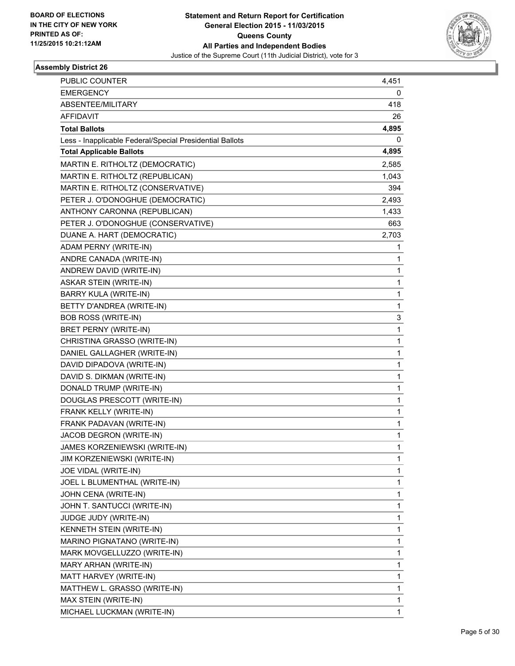

| <b>PUBLIC COUNTER</b>                                    | 4,451 |
|----------------------------------------------------------|-------|
| <b>EMERGENCY</b>                                         | 0     |
| ABSENTEE/MILITARY                                        | 418   |
| AFFIDAVIT                                                | 26    |
| <b>Total Ballots</b>                                     | 4,895 |
| Less - Inapplicable Federal/Special Presidential Ballots | 0     |
| <b>Total Applicable Ballots</b>                          | 4,895 |
| MARTIN E. RITHOLTZ (DEMOCRATIC)                          | 2,585 |
| MARTIN E. RITHOLTZ (REPUBLICAN)                          | 1,043 |
| MARTIN E. RITHOLTZ (CONSERVATIVE)                        | 394   |
| PETER J. O'DONOGHUE (DEMOCRATIC)                         | 2,493 |
| ANTHONY CARONNA (REPUBLICAN)                             | 1,433 |
| PETER J. O'DONOGHUE (CONSERVATIVE)                       | 663   |
| DUANE A. HART (DEMOCRATIC)                               | 2,703 |
| ADAM PERNY (WRITE-IN)                                    | 1     |
| ANDRE CANADA (WRITE-IN)                                  | 1     |
| ANDREW DAVID (WRITE-IN)                                  | 1     |
| <b>ASKAR STEIN (WRITE-IN)</b>                            | 1     |
| BARRY KULA (WRITE-IN)                                    | 1     |
| BETTY D'ANDREA (WRITE-IN)                                | 1     |
| <b>BOB ROSS (WRITE-IN)</b>                               | 3     |
| BRET PERNY (WRITE-IN)                                    | 1     |
| CHRISTINA GRASSO (WRITE-IN)                              | 1     |
| DANIEL GALLAGHER (WRITE-IN)                              | 1     |
| DAVID DIPADOVA (WRITE-IN)                                | 1     |
| DAVID S. DIKMAN (WRITE-IN)                               | 1     |
| DONALD TRUMP (WRITE-IN)                                  | 1     |
| DOUGLAS PRESCOTT (WRITE-IN)                              | 1     |
| FRANK KELLY (WRITE-IN)                                   | 1     |
| FRANK PADAVAN (WRITE-IN)                                 | 1     |
| JACOB DEGRON (WRITE-IN)                                  | 1     |
| JAMES KORZENIEWSKI (WRITE-IN)                            | 1     |
| JIM KORZENIEWSKI (WRITE-IN)                              | 1     |
| JOE VIDAL (WRITE-IN)                                     | 1     |
| JOEL L BLUMENTHAL (WRITE-IN)                             | 1     |
| JOHN CENA (WRITE-IN)                                     | 1     |
| JOHN T. SANTUCCI (WRITE-IN)                              | 1     |
| JUDGE JUDY (WRITE-IN)                                    | 1     |
| KENNETH STEIN (WRITE-IN)                                 | 1     |
| MARINO PIGNATANO (WRITE-IN)                              | 1     |
| MARK MOVGELLUZZO (WRITE-IN)                              | 1     |
| MARY ARHAN (WRITE-IN)                                    | 1     |
| MATT HARVEY (WRITE-IN)                                   | 1     |
| MATTHEW L. GRASSO (WRITE-IN)                             | 1     |
| MAX STEIN (WRITE-IN)                                     | 1     |
| MICHAEL LUCKMAN (WRITE-IN)                               | 1     |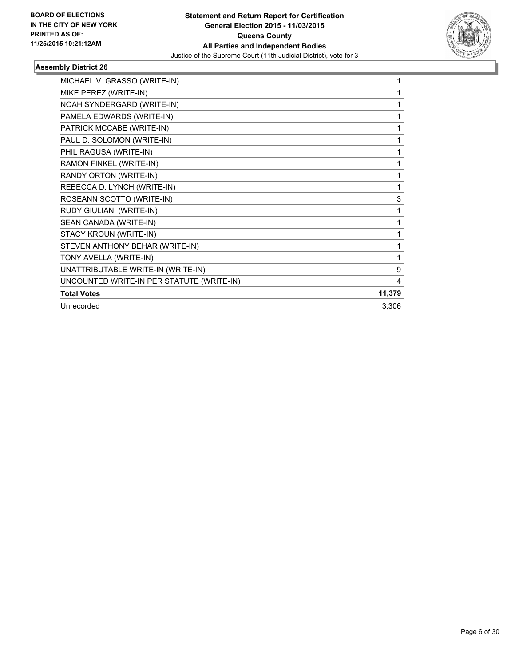

| MICHAEL V. GRASSO (WRITE-IN)              |        |
|-------------------------------------------|--------|
| MIKE PEREZ (WRITE-IN)                     | 1      |
| NOAH SYNDERGARD (WRITE-IN)                |        |
| PAMELA EDWARDS (WRITE-IN)                 |        |
| PATRICK MCCABE (WRITE-IN)                 | 1      |
| PAUL D. SOLOMON (WRITE-IN)                | 1      |
| PHIL RAGUSA (WRITE-IN)                    | 1      |
| RAMON FINKEL (WRITE-IN)                   |        |
| RANDY ORTON (WRITE-IN)                    | 1      |
| REBECCA D. LYNCH (WRITE-IN)               | 1      |
| ROSEANN SCOTTO (WRITE-IN)                 | 3      |
| RUDY GIULIANI (WRITE-IN)                  | 1      |
| SEAN CANADA (WRITE-IN)                    | 1      |
| STACY KROUN (WRITE-IN)                    | 1      |
| STEVEN ANTHONY BEHAR (WRITE-IN)           | 1      |
| TONY AVELLA (WRITE-IN)                    | 1      |
| UNATTRIBUTABLE WRITE-IN (WRITE-IN)        | 9      |
| UNCOUNTED WRITE-IN PER STATUTE (WRITE-IN) | 4      |
| <b>Total Votes</b>                        | 11,379 |
| Unrecorded                                | 3,306  |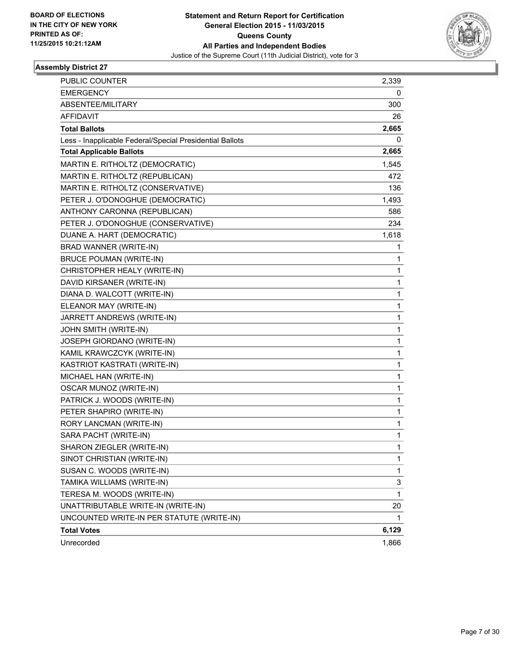

| PUBLIC COUNTER                                           | 2,339 |
|----------------------------------------------------------|-------|
| <b>EMERGENCY</b>                                         | 0     |
| ABSENTEE/MILITARY                                        | 300   |
| <b>AFFIDAVIT</b>                                         | 26    |
| <b>Total Ballots</b>                                     | 2,665 |
| Less - Inapplicable Federal/Special Presidential Ballots | 0     |
| <b>Total Applicable Ballots</b>                          | 2,665 |
| MARTIN E. RITHOLTZ (DEMOCRATIC)                          | 1,545 |
| MARTIN E. RITHOLTZ (REPUBLICAN)                          | 472   |
| MARTIN E. RITHOLTZ (CONSERVATIVE)                        | 136   |
| PETER J. O'DONOGHUE (DEMOCRATIC)                         | 1,493 |
| ANTHONY CARONNA (REPUBLICAN)                             | 586   |
| PETER J. O'DONOGHUE (CONSERVATIVE)                       | 234   |
| DUANE A. HART (DEMOCRATIC)                               | 1,618 |
| BRAD WANNER (WRITE-IN)                                   | 1     |
| <b>BRUCE POUMAN (WRITE-IN)</b>                           | 1     |
| CHRISTOPHER HEALY (WRITE-IN)                             | 1     |
| DAVID KIRSANER (WRITE-IN)                                | 1     |
| DIANA D. WALCOTT (WRITE-IN)                              | 1     |
| ELEANOR MAY (WRITE-IN)                                   | 1     |
| JARRETT ANDREWS (WRITE-IN)                               | 1     |
| JOHN SMITH (WRITE-IN)                                    | 1     |
| JOSEPH GIORDANO (WRITE-IN)                               | 1     |
| KAMIL KRAWCZCYK (WRITE-IN)                               | 1     |
| KASTRIOT KASTRATI (WRITE-IN)                             | 1     |
| MICHAEL HAN (WRITE-IN)                                   | 1     |
| <b>OSCAR MUNOZ (WRITE-IN)</b>                            | 1     |
| PATRICK J. WOODS (WRITE-IN)                              | 1     |
| PETER SHAPIRO (WRITE-IN)                                 | 1     |
| RORY LANCMAN (WRITE-IN)                                  | 1     |
| SARA PACHT (WRITE-IN)                                    | 1     |
| SHARON ZIEGLER (WRITE-IN)                                | 1     |
| SINOT CHRISTIAN (WRITE-IN)                               | 1     |
| SUSAN C. WOODS (WRITE-IN)                                | 1     |
| TAMIKA WILLIAMS (WRITE-IN)                               | 3     |
| TERESA M. WOODS (WRITE-IN)                               | 1     |
| UNATTRIBUTABLE WRITE-IN (WRITE-IN)                       | 20    |
| UNCOUNTED WRITE-IN PER STATUTE (WRITE-IN)                | 1     |
| <b>Total Votes</b>                                       | 6,129 |
| Unrecorded                                               | 1,866 |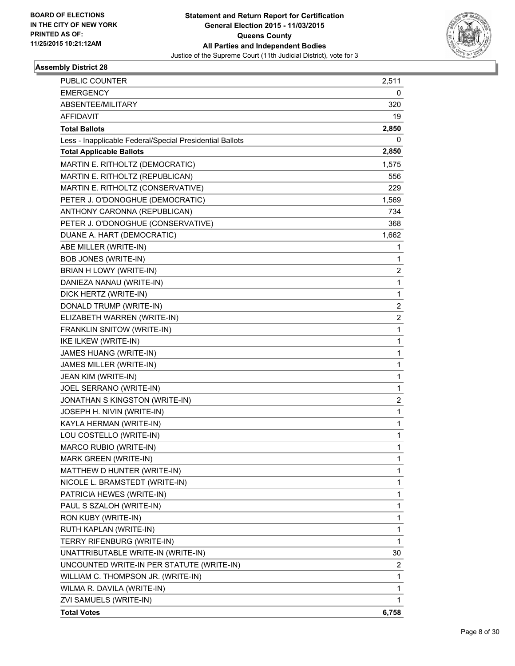

| PUBLIC COUNTER                                           | 2,511                   |
|----------------------------------------------------------|-------------------------|
| <b>EMERGENCY</b>                                         | 0                       |
| ABSENTEE/MILITARY                                        | 320                     |
| <b>AFFIDAVIT</b>                                         | 19                      |
| <b>Total Ballots</b>                                     | 2,850                   |
| Less - Inapplicable Federal/Special Presidential Ballots | 0                       |
| <b>Total Applicable Ballots</b>                          | 2,850                   |
| MARTIN E. RITHOLTZ (DEMOCRATIC)                          | 1,575                   |
| MARTIN E. RITHOLTZ (REPUBLICAN)                          | 556                     |
| MARTIN E. RITHOLTZ (CONSERVATIVE)                        | 229                     |
| PETER J. O'DONOGHUE (DEMOCRATIC)                         | 1,569                   |
| ANTHONY CARONNA (REPUBLICAN)                             | 734                     |
| PETER J. O'DONOGHUE (CONSERVATIVE)                       | 368                     |
| DUANE A. HART (DEMOCRATIC)                               | 1,662                   |
| ABE MILLER (WRITE-IN)                                    | 1                       |
| <b>BOB JONES (WRITE-IN)</b>                              | 1                       |
| BRIAN H LOWY (WRITE-IN)                                  | 2                       |
| DANIEZA NANAU (WRITE-IN)                                 | 1                       |
| DICK HERTZ (WRITE-IN)                                    | 1                       |
| DONALD TRUMP (WRITE-IN)                                  | 2                       |
| ELIZABETH WARREN (WRITE-IN)                              | $\overline{\mathbf{c}}$ |
| FRANKLIN SNITOW (WRITE-IN)                               | 1                       |
| IKE ILKEW (WRITE-IN)                                     | 1                       |
| JAMES HUANG (WRITE-IN)                                   | 1                       |
| JAMES MILLER (WRITE-IN)                                  | 1                       |
| JEAN KIM (WRITE-IN)                                      | 1                       |
| JOEL SERRANO (WRITE-IN)                                  | 1                       |
| JONATHAN S KINGSTON (WRITE-IN)                           | 2                       |
| JOSEPH H. NIVIN (WRITE-IN)                               | 1                       |
| KAYLA HERMAN (WRITE-IN)                                  | 1                       |
| LOU COSTELLO (WRITE-IN)                                  | 1                       |
| MARCO RUBIO (WRITE-IN)                                   | 1                       |
| MARK GREEN (WRITE-IN)                                    | 1                       |
| MATTHEW D HUNTER (WRITE-IN)                              | 1                       |
| NICOLE L. BRAMSTEDT (WRITE-IN)                           | 1                       |
| PATRICIA HEWES (WRITE-IN)                                | 1                       |
| PAUL S SZALOH (WRITE-IN)                                 | 1                       |
| RON KUBY (WRITE-IN)                                      | 1                       |
| RUTH KAPLAN (WRITE-IN)                                   | 1                       |
| TERRY RIFENBURG (WRITE-IN)                               | 1                       |
| UNATTRIBUTABLE WRITE-IN (WRITE-IN)                       | 30                      |
| UNCOUNTED WRITE-IN PER STATUTE (WRITE-IN)                | 2                       |
| WILLIAM C. THOMPSON JR. (WRITE-IN)                       | 1                       |
| WILMA R. DAVILA (WRITE-IN)                               | 1                       |
| ZVI SAMUELS (WRITE-IN)                                   | 1                       |
| <b>Total Votes</b>                                       | 6,758                   |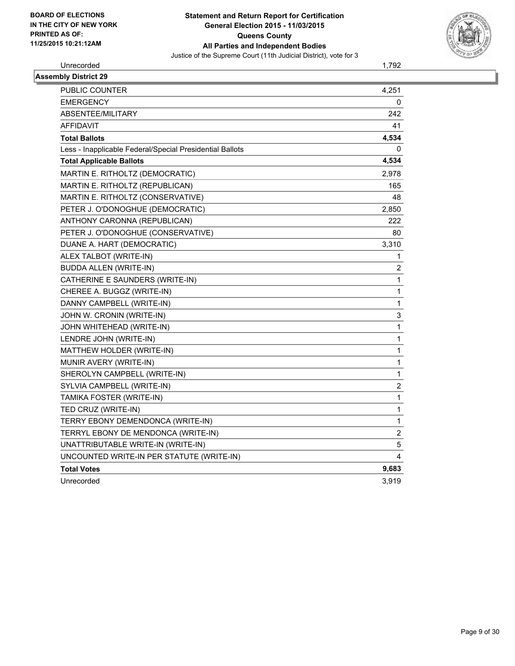

Unrecorded 1,792

| <b>Assembly District 29</b>                              |                |
|----------------------------------------------------------|----------------|
| <b>PUBLIC COUNTER</b>                                    | 4,251          |
| <b>EMERGENCY</b>                                         | 0              |
| ABSENTEE/MILITARY                                        | 242            |
| <b>AFFIDAVIT</b>                                         | 41             |
| <b>Total Ballots</b>                                     | 4,534          |
| Less - Inapplicable Federal/Special Presidential Ballots | 0              |
| <b>Total Applicable Ballots</b>                          | 4,534          |
| MARTIN E. RITHOLTZ (DEMOCRATIC)                          | 2,978          |
| MARTIN E. RITHOLTZ (REPUBLICAN)                          | 165            |
| MARTIN E. RITHOLTZ (CONSERVATIVE)                        | 48             |
| PETER J. O'DONOGHUE (DEMOCRATIC)                         | 2,850          |
| ANTHONY CARONNA (REPUBLICAN)                             | 222            |
| PETER J. O'DONOGHUE (CONSERVATIVE)                       | 80             |
| DUANE A. HART (DEMOCRATIC)                               | 3,310          |
| ALEX TALBOT (WRITE-IN)                                   | 1              |
| <b>BUDDA ALLEN (WRITE-IN)</b>                            | $\overline{2}$ |
| CATHERINE E SAUNDERS (WRITE-IN)                          | 1              |
| CHEREE A. BUGGZ (WRITE-IN)                               | 1              |
| DANNY CAMPBELL (WRITE-IN)                                | $\mathbf{1}$   |
| JOHN W. CRONIN (WRITE-IN)                                | 3              |
| JOHN WHITEHEAD (WRITE-IN)                                | $\mathbf{1}$   |
| LENDRE JOHN (WRITE-IN)                                   | $\mathbf{1}$   |
| MATTHEW HOLDER (WRITE-IN)                                | $\mathbf{1}$   |
| MUNIR AVERY (WRITE-IN)                                   | 1              |
| SHEROLYN CAMPBELL (WRITE-IN)                             | $\mathbf{1}$   |
| SYLVIA CAMPBELL (WRITE-IN)                               | 2              |
| TAMIKA FOSTER (WRITE-IN)                                 | $\mathbf{1}$   |
| TED CRUZ (WRITE-IN)                                      | $\mathbf{1}$   |
| TERRY EBONY DEMENDONCA (WRITE-IN)                        | $\mathbf{1}$   |
| TERRYL EBONY DE MENDONCA (WRITE-IN)                      | $\overline{2}$ |
| UNATTRIBUTABLE WRITE-IN (WRITE-IN)                       | 5              |
| UNCOUNTED WRITE-IN PER STATUTE (WRITE-IN)                | 4              |
| <b>Total Votes</b>                                       | 9,683          |
| Unrecorded                                               | 3,919          |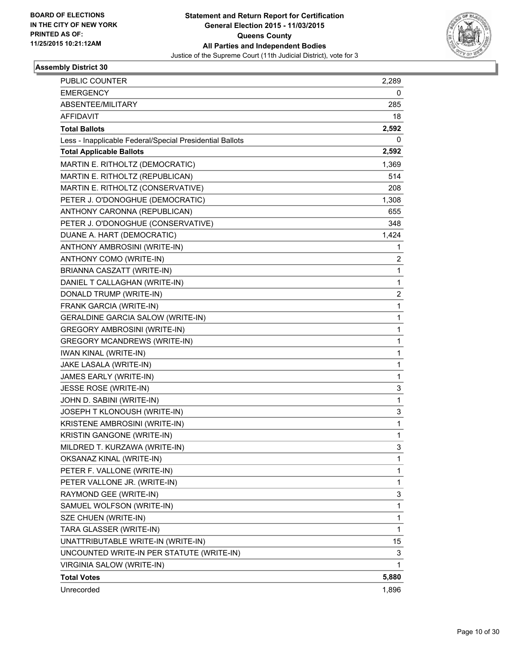

| <b>PUBLIC COUNTER</b>                                    | 2,289 |
|----------------------------------------------------------|-------|
| <b>EMERGENCY</b>                                         | 0     |
| ABSENTEE/MILITARY                                        | 285   |
| AFFIDAVIT                                                | 18    |
| <b>Total Ballots</b>                                     | 2,592 |
| Less - Inapplicable Federal/Special Presidential Ballots | 0     |
| <b>Total Applicable Ballots</b>                          | 2,592 |
| MARTIN E. RITHOLTZ (DEMOCRATIC)                          | 1,369 |
| MARTIN E. RITHOLTZ (REPUBLICAN)                          | 514   |
| MARTIN E. RITHOLTZ (CONSERVATIVE)                        | 208   |
| PETER J. O'DONOGHUE (DEMOCRATIC)                         | 1,308 |
| ANTHONY CARONNA (REPUBLICAN)                             | 655   |
| PETER J. O'DONOGHUE (CONSERVATIVE)                       | 348   |
| DUANE A. HART (DEMOCRATIC)                               | 1,424 |
| ANTHONY AMBROSINI (WRITE-IN)                             | 1     |
| ANTHONY COMO (WRITE-IN)                                  | 2     |
| BRIANNA CASZATT (WRITE-IN)                               | 1     |
| DANIEL T CALLAGHAN (WRITE-IN)                            | 1     |
| DONALD TRUMP (WRITE-IN)                                  | 2     |
| FRANK GARCIA (WRITE-IN)                                  | 1     |
| <b>GERALDINE GARCIA SALOW (WRITE-IN)</b>                 | 1     |
| <b>GREGORY AMBROSINI (WRITE-IN)</b>                      | 1     |
| <b>GREGORY MCANDREWS (WRITE-IN)</b>                      | 1     |
| <b>IWAN KINAL (WRITE-IN)</b>                             | 1     |
| JAKE LASALA (WRITE-IN)                                   | 1     |
| JAMES EARLY (WRITE-IN)                                   | 1     |
| JESSE ROSE (WRITE-IN)                                    | 3     |
| JOHN D. SABINI (WRITE-IN)                                | 1     |
| JOSEPH T KLONOUSH (WRITE-IN)                             | 3     |
| KRISTENE AMBROSINI (WRITE-IN)                            | 1     |
| KRISTIN GANGONE (WRITE-IN)                               | 1     |
| MILDRED T. KURZAWA (WRITE-IN)                            | 3     |
| OKSANAZ KINAL (WRITE-IN)                                 | 1     |
| PETER F. VALLONE (WRITE-IN)                              | 1     |
| PETER VALLONE JR. (WRITE-IN)                             | 1     |
| RAYMOND GEE (WRITE-IN)                                   | 3     |
| SAMUEL WOLFSON (WRITE-IN)                                | 1     |
| SZE CHUEN (WRITE-IN)                                     | 1     |
| TARA GLASSER (WRITE-IN)                                  | 1     |
| UNATTRIBUTABLE WRITE-IN (WRITE-IN)                       | 15    |
| UNCOUNTED WRITE-IN PER STATUTE (WRITE-IN)                | 3     |
| VIRGINIA SALOW (WRITE-IN)                                | 1     |
| <b>Total Votes</b>                                       | 5,880 |
| Unrecorded                                               | 1,896 |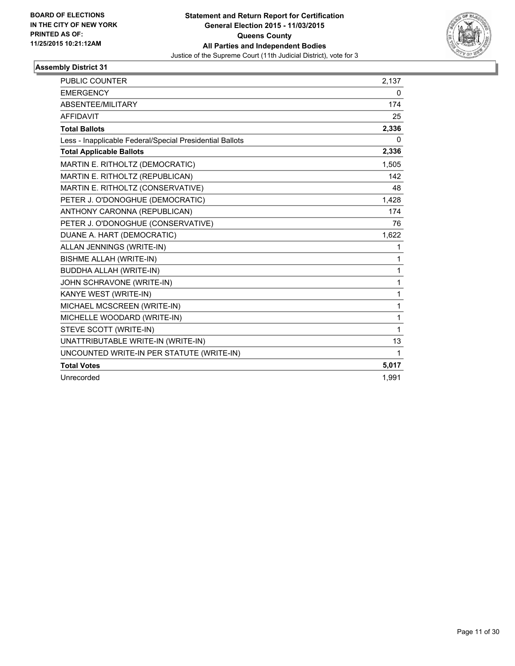

| <b>PUBLIC COUNTER</b>                                    | 2,137 |
|----------------------------------------------------------|-------|
| <b>EMERGENCY</b>                                         | 0     |
| ABSENTEE/MILITARY                                        | 174   |
| <b>AFFIDAVIT</b>                                         | 25    |
| <b>Total Ballots</b>                                     | 2,336 |
| Less - Inapplicable Federal/Special Presidential Ballots | 0     |
| <b>Total Applicable Ballots</b>                          | 2,336 |
| MARTIN E. RITHOLTZ (DEMOCRATIC)                          | 1,505 |
| MARTIN E. RITHOLTZ (REPUBLICAN)                          | 142   |
| MARTIN E. RITHOLTZ (CONSERVATIVE)                        | 48    |
| PETER J. O'DONOGHUE (DEMOCRATIC)                         | 1,428 |
| ANTHONY CARONNA (REPUBLICAN)                             | 174   |
| PETER J. O'DONOGHUE (CONSERVATIVE)                       | 76    |
| DUANE A. HART (DEMOCRATIC)                               | 1,622 |
| ALLAN JENNINGS (WRITE-IN)                                | 1     |
| <b>BISHME ALLAH (WRITE-IN)</b>                           | 1     |
| <b>BUDDHA ALLAH (WRITE-IN)</b>                           | 1     |
| JOHN SCHRAVONE (WRITE-IN)                                | 1     |
| KANYE WEST (WRITE-IN)                                    | 1     |
| MICHAEL MCSCREEN (WRITE-IN)                              | 1     |
| MICHELLE WOODARD (WRITE-IN)                              | 1     |
| STEVE SCOTT (WRITE-IN)                                   | 1     |
| UNATTRIBUTABLE WRITE-IN (WRITE-IN)                       | 13    |
| UNCOUNTED WRITE-IN PER STATUTE (WRITE-IN)                | 1     |
| <b>Total Votes</b>                                       | 5,017 |
| Unrecorded                                               | 1,991 |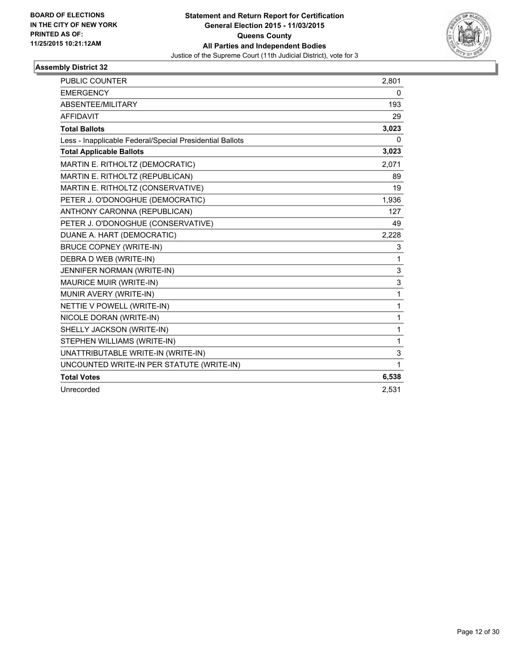

| PUBLIC COUNTER                                           | 2,801 |
|----------------------------------------------------------|-------|
| <b>EMERGENCY</b>                                         | 0     |
| ABSENTEE/MILITARY                                        | 193   |
| <b>AFFIDAVIT</b>                                         | 29    |
| <b>Total Ballots</b>                                     | 3,023 |
| Less - Inapplicable Federal/Special Presidential Ballots | 0     |
| <b>Total Applicable Ballots</b>                          | 3,023 |
| MARTIN E. RITHOLTZ (DEMOCRATIC)                          | 2,071 |
| MARTIN E. RITHOLTZ (REPUBLICAN)                          | 89    |
| MARTIN E. RITHOLTZ (CONSERVATIVE)                        | 19    |
| PETER J. O'DONOGHUE (DEMOCRATIC)                         | 1,936 |
| ANTHONY CARONNA (REPUBLICAN)                             | 127   |
| PETER J. O'DONOGHUE (CONSERVATIVE)                       | 49    |
| DUANE A. HART (DEMOCRATIC)                               | 2,228 |
| <b>BRUCE COPNEY (WRITE-IN)</b>                           | 3     |
| DEBRA D WEB (WRITE-IN)                                   | 1     |
| JENNIFER NORMAN (WRITE-IN)                               | 3     |
| MAURICE MUIR (WRITE-IN)                                  | 3     |
| MUNIR AVERY (WRITE-IN)                                   | 1     |
| NETTIE V POWELL (WRITE-IN)                               | 1     |
| NICOLE DORAN (WRITE-IN)                                  | 1     |
| SHELLY JACKSON (WRITE-IN)                                | 1     |
| STEPHEN WILLIAMS (WRITE-IN)                              | 1     |
| UNATTRIBUTABLE WRITE-IN (WRITE-IN)                       | 3     |
| UNCOUNTED WRITE-IN PER STATUTE (WRITE-IN)                | 1     |
| <b>Total Votes</b>                                       | 6,538 |
| Unrecorded                                               | 2.531 |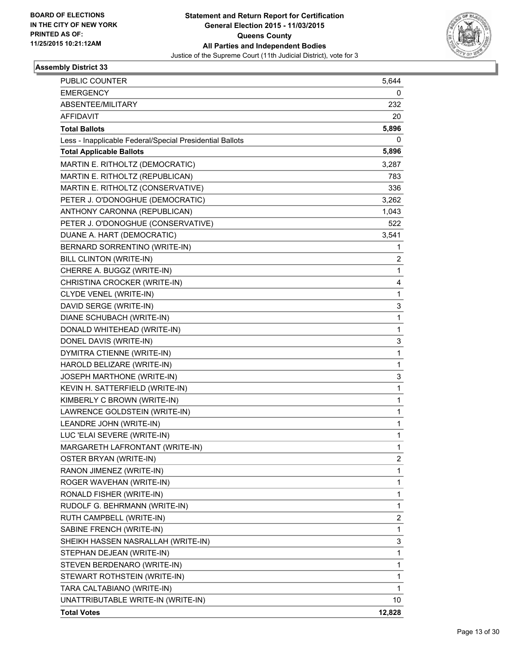

| <b>PUBLIC COUNTER</b>                                    | 5,644  |
|----------------------------------------------------------|--------|
| <b>EMERGENCY</b>                                         | 0      |
| ABSENTEE/MILITARY                                        | 232    |
| <b>AFFIDAVIT</b>                                         | 20     |
| <b>Total Ballots</b>                                     | 5,896  |
| Less - Inapplicable Federal/Special Presidential Ballots | 0      |
| <b>Total Applicable Ballots</b>                          | 5,896  |
| MARTIN E. RITHOLTZ (DEMOCRATIC)                          | 3,287  |
| MARTIN E. RITHOLTZ (REPUBLICAN)                          | 783    |
| MARTIN E. RITHOLTZ (CONSERVATIVE)                        | 336    |
| PETER J. O'DONOGHUE (DEMOCRATIC)                         | 3,262  |
| ANTHONY CARONNA (REPUBLICAN)                             | 1,043  |
| PETER J. O'DONOGHUE (CONSERVATIVE)                       | 522    |
| DUANE A. HART (DEMOCRATIC)                               | 3,541  |
| BERNARD SORRENTINO (WRITE-IN)                            | 1      |
| <b>BILL CLINTON (WRITE-IN)</b>                           | 2      |
| CHERRE A. BUGGZ (WRITE-IN)                               | 1      |
| CHRISTINA CROCKER (WRITE-IN)                             | 4      |
| CLYDE VENEL (WRITE-IN)                                   | 1      |
| DAVID SERGE (WRITE-IN)                                   | 3      |
| DIANE SCHUBACH (WRITE-IN)                                | 1      |
| DONALD WHITEHEAD (WRITE-IN)                              | 1      |
| DONEL DAVIS (WRITE-IN)                                   | 3      |
| DYMITRA CTIENNE (WRITE-IN)                               | 1      |
| HAROLD BELIZARE (WRITE-IN)                               | 1      |
| JOSEPH MARTHONE (WRITE-IN)                               | 3      |
| KEVIN H. SATTERFIELD (WRITE-IN)                          | 1      |
| KIMBERLY C BROWN (WRITE-IN)                              | 1      |
| LAWRENCE GOLDSTEIN (WRITE-IN)                            | 1      |
| LEANDRE JOHN (WRITE-IN)                                  | 1      |
| LUC 'ELAI SEVERE (WRITE-IN)                              | 1      |
| MARGARETH LAFRONTANT (WRITE-IN)                          | 1      |
| OSTER BRYAN (WRITE-IN)                                   | 2      |
| RANON JIMENEZ (WRITE-IN)                                 | 1      |
| ROGER WAVEHAN (WRITE-IN)                                 | 1      |
| RONALD FISHER (WRITE-IN)                                 | 1      |
| RUDOLF G. BEHRMANN (WRITE-IN)                            | 1      |
| RUTH CAMPBELL (WRITE-IN)                                 | 2      |
| SABINE FRENCH (WRITE-IN)                                 | 1      |
| SHEIKH HASSEN NASRALLAH (WRITE-IN)                       | 3      |
| STEPHAN DEJEAN (WRITE-IN)                                | 1      |
| STEVEN BERDENARO (WRITE-IN)                              | 1      |
| STEWART ROTHSTEIN (WRITE-IN)                             | 1      |
| TARA CALTABIANO (WRITE-IN)                               | 1      |
| UNATTRIBUTABLE WRITE-IN (WRITE-IN)                       | 10     |
| <b>Total Votes</b>                                       | 12,828 |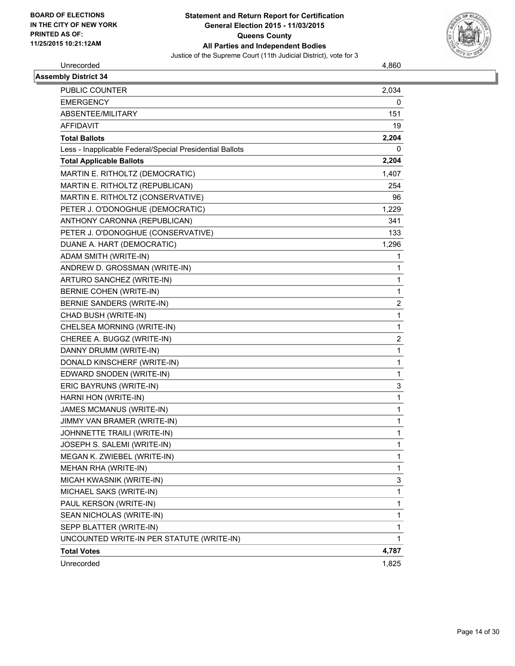

Unrecorded 4,860

| <b>Assembly District 34</b>                              |                |
|----------------------------------------------------------|----------------|
| <b>PUBLIC COUNTER</b>                                    | 2,034          |
| <b>EMERGENCY</b>                                         | 0              |
| ABSENTEE/MILITARY                                        | 151            |
| <b>AFFIDAVIT</b>                                         | 19             |
| <b>Total Ballots</b>                                     | 2,204          |
| Less - Inapplicable Federal/Special Presidential Ballots | 0              |
| <b>Total Applicable Ballots</b>                          | 2,204          |
| MARTIN E. RITHOLTZ (DEMOCRATIC)                          | 1,407          |
| MARTIN E. RITHOLTZ (REPUBLICAN)                          | 254            |
| MARTIN E. RITHOLTZ (CONSERVATIVE)                        | 96             |
| PETER J. O'DONOGHUE (DEMOCRATIC)                         | 1,229          |
| ANTHONY CARONNA (REPUBLICAN)                             | 341            |
| PETER J. O'DONOGHUE (CONSERVATIVE)                       | 133            |
| DUANE A. HART (DEMOCRATIC)                               | 1,296          |
| ADAM SMITH (WRITE-IN)                                    | 1              |
| ANDREW D. GROSSMAN (WRITE-IN)                            | 1              |
| ARTURO SANCHEZ (WRITE-IN)                                | $\mathbf{1}$   |
| BERNIE COHEN (WRITE-IN)                                  | $\mathbf{1}$   |
| <b>BERNIE SANDERS (WRITE-IN)</b>                         | $\overline{2}$ |
| CHAD BUSH (WRITE-IN)                                     | $\mathbf{1}$   |
| CHELSEA MORNING (WRITE-IN)                               | 1              |
| CHEREE A. BUGGZ (WRITE-IN)                               | $\overline{2}$ |
| DANNY DRUMM (WRITE-IN)                                   | $\mathbf{1}$   |
| DONALD KINSCHERF (WRITE-IN)                              | $\mathbf{1}$   |
| EDWARD SNODEN (WRITE-IN)                                 | $\mathbf{1}$   |
| ERIC BAYRUNS (WRITE-IN)                                  | 3              |
| HARNI HON (WRITE-IN)                                     | $\mathbf{1}$   |
| JAMES MCMANUS (WRITE-IN)                                 | 1              |
| JIMMY VAN BRAMER (WRITE-IN)                              | 1              |
| JOHNNETTE TRAILI (WRITE-IN)                              | $\mathbf{1}$   |
| JOSEPH S. SALEMI (WRITE-IN)                              | 1              |
| MEGAN K. ZWIEBEL (WRITE-IN)                              | $\mathbf{1}$   |
| MEHAN RHA (WRITE-IN)                                     | 1              |
| MICAH KWASNIK (WRITE-IN)                                 | 3              |
| MICHAEL SAKS (WRITE-IN)                                  | $\mathbf{1}$   |
| PAUL KERSON (WRITE-IN)                                   | 1              |
| SEAN NICHOLAS (WRITE-IN)                                 | $\mathbf{1}$   |
| SEPP BLATTER (WRITE-IN)                                  | $\mathbf{1}$   |
| UNCOUNTED WRITE-IN PER STATUTE (WRITE-IN)                | 1              |
| <b>Total Votes</b>                                       | 4,787          |
| Unrecorded                                               | 1,825          |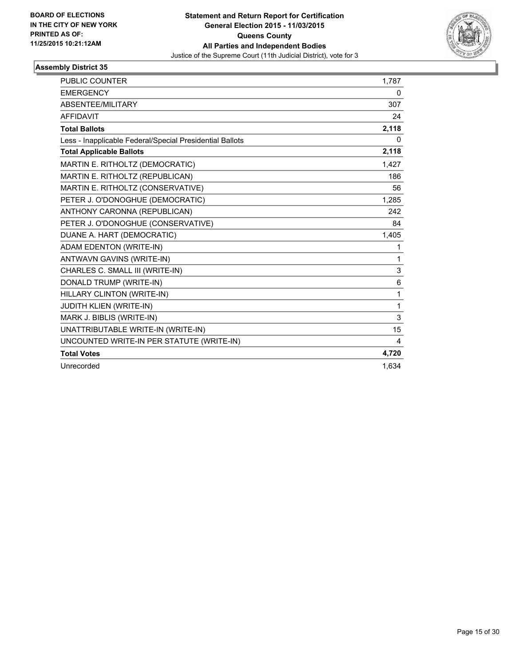

| PUBLIC COUNTER                                           | 1,787        |
|----------------------------------------------------------|--------------|
| <b>EMERGENCY</b>                                         | 0            |
| ABSENTEE/MILITARY                                        | 307          |
| <b>AFFIDAVIT</b>                                         | 24           |
| <b>Total Ballots</b>                                     | 2,118        |
| Less - Inapplicable Federal/Special Presidential Ballots | 0            |
| <b>Total Applicable Ballots</b>                          | 2,118        |
| MARTIN E. RITHOLTZ (DEMOCRATIC)                          | 1,427        |
| MARTIN E. RITHOLTZ (REPUBLICAN)                          | 186          |
| MARTIN E. RITHOLTZ (CONSERVATIVE)                        | 56           |
| PETER J. O'DONOGHUE (DEMOCRATIC)                         | 1,285        |
| ANTHONY CARONNA (REPUBLICAN)                             | 242          |
| PETER J. O'DONOGHUE (CONSERVATIVE)                       | 84           |
| DUANE A. HART (DEMOCRATIC)                               | 1,405        |
| ADAM EDENTON (WRITE-IN)                                  | 1            |
| ANTWAVN GAVINS (WRITE-IN)                                | 1            |
| CHARLES C. SMALL III (WRITE-IN)                          | 3            |
| DONALD TRUMP (WRITE-IN)                                  | 6            |
| HILLARY CLINTON (WRITE-IN)                               | $\mathbf{1}$ |
| JUDITH KLIEN (WRITE-IN)                                  | $\mathbf{1}$ |
| MARK J. BIBLIS (WRITE-IN)                                | 3            |
| UNATTRIBUTABLE WRITE-IN (WRITE-IN)                       | 15           |
| UNCOUNTED WRITE-IN PER STATUTE (WRITE-IN)                | 4            |
| <b>Total Votes</b>                                       | 4,720        |
| Unrecorded                                               | 1,634        |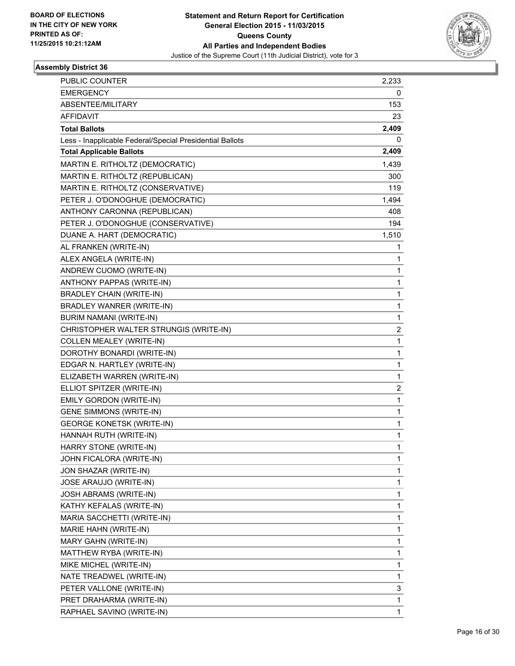

| <b>PUBLIC COUNTER</b>                                    | 2,233                   |
|----------------------------------------------------------|-------------------------|
| <b>EMERGENCY</b>                                         | 0                       |
| ABSENTEE/MILITARY                                        | 153                     |
| <b>AFFIDAVIT</b>                                         | 23                      |
| <b>Total Ballots</b>                                     | 2,409                   |
| Less - Inapplicable Federal/Special Presidential Ballots | 0                       |
| <b>Total Applicable Ballots</b>                          | 2,409                   |
| MARTIN E. RITHOLTZ (DEMOCRATIC)                          | 1,439                   |
| MARTIN E. RITHOLTZ (REPUBLICAN)                          | 300                     |
| MARTIN E. RITHOLTZ (CONSERVATIVE)                        | 119                     |
| PETER J. O'DONOGHUE (DEMOCRATIC)                         | 1,494                   |
| ANTHONY CARONNA (REPUBLICAN)                             | 408                     |
| PETER J. O'DONOGHUE (CONSERVATIVE)                       | 194                     |
| DUANE A. HART (DEMOCRATIC)                               | 1,510                   |
| AL FRANKEN (WRITE-IN)                                    | 1                       |
| ALEX ANGELA (WRITE-IN)                                   | 1                       |
| ANDREW CUOMO (WRITE-IN)                                  | 1                       |
| ANTHONY PAPPAS (WRITE-IN)                                | 1                       |
| <b>BRADLEY CHAIN (WRITE-IN)</b>                          | 1                       |
| BRADLEY WANRER (WRITE-IN)                                | 1                       |
| <b>BURIM NAMANI (WRITE-IN)</b>                           | 1                       |
| CHRISTOPHER WALTER STRUNGIS (WRITE-IN)                   | $\overline{\mathbf{c}}$ |
| <b>COLLEN MEALEY (WRITE-IN)</b>                          | 1                       |
| DOROTHY BONARDI (WRITE-IN)                               | 1                       |
| EDGAR N. HARTLEY (WRITE-IN)                              | 1                       |
| ELIZABETH WARREN (WRITE-IN)                              | 1                       |
| ELLIOT SPITZER (WRITE-IN)                                | 2                       |
| EMILY GORDON (WRITE-IN)                                  | 1                       |
| <b>GENE SIMMONS (WRITE-IN)</b>                           | 1                       |
| <b>GEORGE KONETSK (WRITE-IN)</b>                         | 1                       |
| HANNAH RUTH (WRITE-IN)                                   | 1                       |
| HARRY STONE (WRITE-IN)                                   | 1                       |
| JOHN FICALORA (WRITE-IN)                                 | 1                       |
| JON SHAZAR (WRITE-IN)                                    | 1                       |
| JOSE ARAUJO (WRITE-IN)                                   | 1                       |
| JOSH ABRAMS (WRITE-IN)                                   | 1                       |
| KATHY KEFALAS (WRITE-IN)                                 | 1                       |
| MARIA SACCHETTI (WRITE-IN)                               | 1                       |
| MARIE HAHN (WRITE-IN)                                    | 1                       |
| MARY GAHN (WRITE-IN)                                     | 1                       |
| MATTHEW RYBA (WRITE-IN)                                  | 1                       |
| MIKE MICHEL (WRITE-IN)                                   | 1                       |
| NATE TREADWEL (WRITE-IN)                                 | 1                       |
| PETER VALLONE (WRITE-IN)                                 | 3                       |
| PRET DRAHARMA (WRITE-IN)                                 | 1                       |
| RAPHAEL SAVINO (WRITE-IN)                                | 1                       |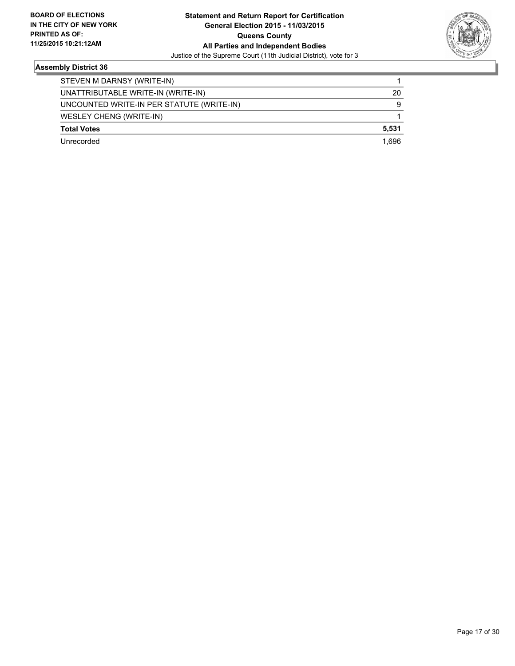

| STEVEN M DARNSY (WRITE-IN)                |       |
|-------------------------------------------|-------|
| UNATTRIBUTABLE WRITE-IN (WRITE-IN)        | 20    |
| UNCOUNTED WRITE-IN PER STATUTE (WRITE-IN) | 9     |
| WESLEY CHENG (WRITE-IN)                   |       |
| <b>Total Votes</b>                        | 5.531 |
| Unrecorded                                | 1.696 |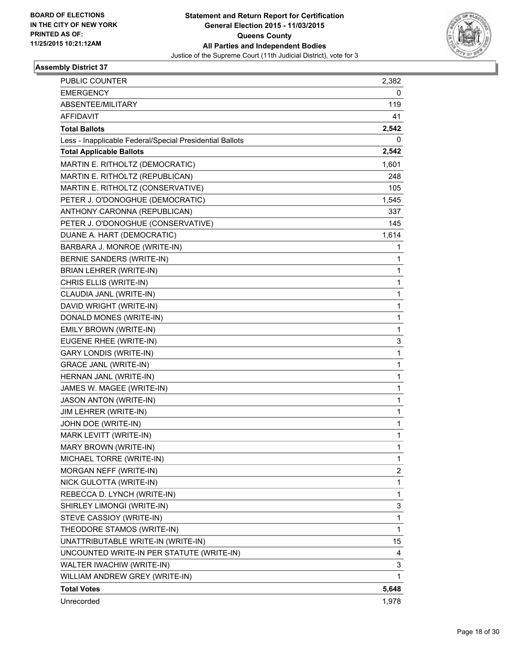

| <b>PUBLIC COUNTER</b>                                    | 2,382       |
|----------------------------------------------------------|-------------|
| <b>EMERGENCY</b>                                         | 0           |
| ABSENTEE/MILITARY                                        | 119         |
| <b>AFFIDAVIT</b>                                         | 41          |
| <b>Total Ballots</b>                                     | 2,542       |
| Less - Inapplicable Federal/Special Presidential Ballots | 0           |
| <b>Total Applicable Ballots</b>                          | 2,542       |
| MARTIN E. RITHOLTZ (DEMOCRATIC)                          | 1,601       |
| MARTIN E. RITHOLTZ (REPUBLICAN)                          | 248         |
| MARTIN E. RITHOLTZ (CONSERVATIVE)                        | 105         |
| PETER J. O'DONOGHUE (DEMOCRATIC)                         | 1,545       |
| ANTHONY CARONNA (REPUBLICAN)                             | 337         |
| PETER J. O'DONOGHUE (CONSERVATIVE)                       | 145         |
| DUANE A. HART (DEMOCRATIC)                               | 1,614       |
| BARBARA J. MONROE (WRITE-IN)                             | 1           |
| BERNIE SANDERS (WRITE-IN)                                | 1           |
| BRIAN LEHRER (WRITE-IN)                                  | 1           |
| CHRIS ELLIS (WRITE-IN)                                   | 1           |
| CLAUDIA JANL (WRITE-IN)                                  | 1           |
| DAVID WRIGHT (WRITE-IN)                                  | 1           |
| DONALD MONES (WRITE-IN)                                  | 1           |
| EMILY BROWN (WRITE-IN)                                   | 1           |
| EUGENE RHEE (WRITE-IN)                                   | 3           |
| <b>GARY LONDIS (WRITE-IN)</b>                            | 1           |
| <b>GRACE JANL (WRITE-IN)</b>                             | 1           |
| HERNAN JANL (WRITE-IN)                                   | 1           |
| JAMES W. MAGEE (WRITE-IN)                                | 1           |
| <b>JASON ANTON (WRITE-IN)</b>                            | 1           |
| JIM LEHRER (WRITE-IN)                                    | 1           |
| JOHN DOE (WRITE-IN)                                      | 1           |
| MARK LEVITT (WRITE-IN)                                   | 1           |
| MARY BROWN (WRITE-IN)                                    | 1           |
| MICHAEL TORRE (WRITE-IN)                                 | 1           |
| MORGAN NEFF (WRITE-IN)                                   | 2           |
| NICK GULOTTA (WRITE-IN)                                  | $\mathbf 1$ |
| REBECCA D. LYNCH (WRITE-IN)                              | 1           |
| SHIRLEY LIMONGI (WRITE-IN)                               | 3           |
| STEVE CASSIOY (WRITE-IN)                                 | 1           |
| THEODORE STAMOS (WRITE-IN)                               | 1           |
| UNATTRIBUTABLE WRITE-IN (WRITE-IN)                       | 15          |
| UNCOUNTED WRITE-IN PER STATUTE (WRITE-IN)                | 4           |
| WALTER IWACHIW (WRITE-IN)                                | 3           |
| WILLIAM ANDREW GREY (WRITE-IN)                           | 1           |
| <b>Total Votes</b>                                       | 5,648       |
| Unrecorded                                               | 1,978       |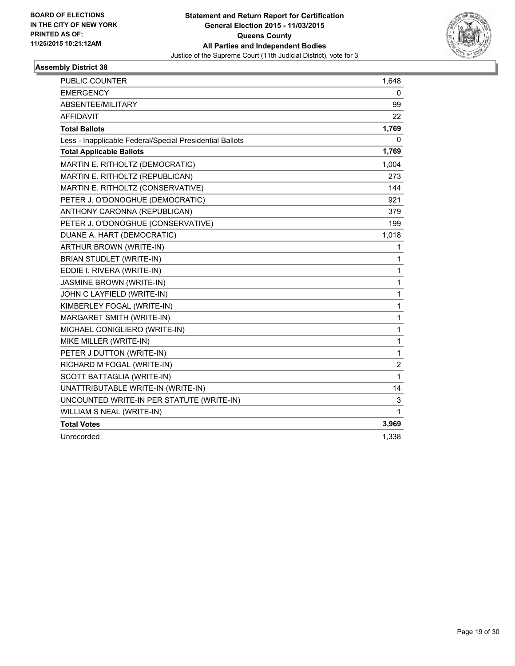

| <b>PUBLIC COUNTER</b>                                    | 1,648          |
|----------------------------------------------------------|----------------|
| <b>EMERGENCY</b>                                         | 0              |
| ABSENTEE/MILITARY                                        | 99             |
| <b>AFFIDAVIT</b>                                         | 22             |
| <b>Total Ballots</b>                                     | 1,769          |
| Less - Inapplicable Federal/Special Presidential Ballots | 0              |
| <b>Total Applicable Ballots</b>                          | 1,769          |
| MARTIN E. RITHOLTZ (DEMOCRATIC)                          | 1,004          |
| MARTIN E. RITHOLTZ (REPUBLICAN)                          | 273            |
| MARTIN E. RITHOLTZ (CONSERVATIVE)                        | 144            |
| PETER J. O'DONOGHUE (DEMOCRATIC)                         | 921            |
| ANTHONY CARONNA (REPUBLICAN)                             | 379            |
| PETER J. O'DONOGHUE (CONSERVATIVE)                       | 199            |
| DUANE A. HART (DEMOCRATIC)                               | 1,018          |
| ARTHUR BROWN (WRITE-IN)                                  | 1              |
| BRIAN STUDLET (WRITE-IN)                                 | 1              |
| EDDIE I. RIVERA (WRITE-IN)                               | 1              |
| <b>JASMINE BROWN (WRITE-IN)</b>                          | 1              |
| JOHN C LAYFIELD (WRITE-IN)                               | $\mathbf{1}$   |
| KIMBERLEY FOGAL (WRITE-IN)                               | 1              |
| MARGARET SMITH (WRITE-IN)                                | $\mathbf 1$    |
| MICHAEL CONIGLIERO (WRITE-IN)                            | 1              |
| MIKE MILLER (WRITE-IN)                                   | $\mathbf{1}$   |
| PETER J DUTTON (WRITE-IN)                                | 1              |
| RICHARD M FOGAL (WRITE-IN)                               | $\overline{2}$ |
| SCOTT BATTAGLIA (WRITE-IN)                               | $\mathbf{1}$   |
| UNATTRIBUTABLE WRITE-IN (WRITE-IN)                       | 14             |
| UNCOUNTED WRITE-IN PER STATUTE (WRITE-IN)                | 3              |
| WILLIAM S NEAL (WRITE-IN)                                | $\mathbf{1}$   |
| <b>Total Votes</b>                                       | 3,969          |
| Unrecorded                                               | 1,338          |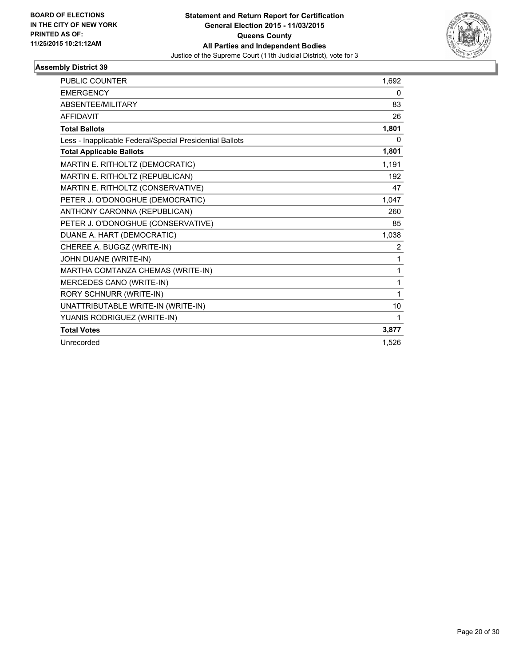

| <b>PUBLIC COUNTER</b>                                    | 1,692 |
|----------------------------------------------------------|-------|
| <b>EMERGENCY</b>                                         | 0     |
| ABSENTEE/MILITARY                                        | 83    |
| <b>AFFIDAVIT</b>                                         | 26    |
| <b>Total Ballots</b>                                     | 1,801 |
| Less - Inapplicable Federal/Special Presidential Ballots | 0     |
| <b>Total Applicable Ballots</b>                          | 1,801 |
| MARTIN E. RITHOLTZ (DEMOCRATIC)                          | 1,191 |
| MARTIN E. RITHOLTZ (REPUBLICAN)                          | 192   |
| MARTIN E. RITHOLTZ (CONSERVATIVE)                        | 47    |
| PETER J. O'DONOGHUE (DEMOCRATIC)                         | 1,047 |
| ANTHONY CARONNA (REPUBLICAN)                             | 260   |
| PETER J. O'DONOGHUE (CONSERVATIVE)                       | 85    |
| DUANE A. HART (DEMOCRATIC)                               | 1,038 |
| CHEREE A. BUGGZ (WRITE-IN)                               | 2     |
| JOHN DUANE (WRITE-IN)                                    | 1     |
| MARTHA COMTANZA CHEMAS (WRITE-IN)                        | 1     |
| MERCEDES CANO (WRITE-IN)                                 | 1     |
| RORY SCHNURR (WRITE-IN)                                  | 1     |
| UNATTRIBUTABLE WRITE-IN (WRITE-IN)                       | 10    |
| YUANIS RODRIGUEZ (WRITE-IN)                              | 1     |
| <b>Total Votes</b>                                       | 3,877 |
| Unrecorded                                               | 1,526 |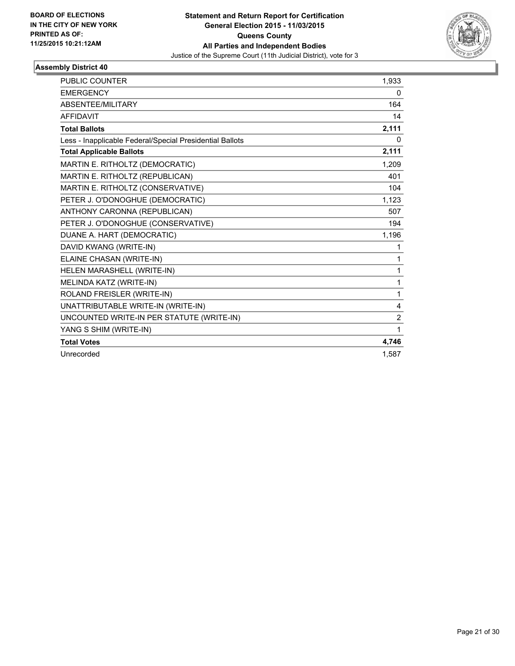

| <b>PUBLIC COUNTER</b>                                    | 1,933          |
|----------------------------------------------------------|----------------|
| <b>EMERGENCY</b>                                         | $\mathbf{0}$   |
| ABSENTEE/MILITARY                                        | 164            |
| <b>AFFIDAVIT</b>                                         | 14             |
| <b>Total Ballots</b>                                     | 2,111          |
| Less - Inapplicable Federal/Special Presidential Ballots | $\mathbf{0}$   |
| <b>Total Applicable Ballots</b>                          | 2,111          |
| MARTIN E. RITHOLTZ (DEMOCRATIC)                          | 1,209          |
| MARTIN E. RITHOLTZ (REPUBLICAN)                          | 401            |
| MARTIN E. RITHOLTZ (CONSERVATIVE)                        | 104            |
| PETER J. O'DONOGHUE (DEMOCRATIC)                         | 1,123          |
| ANTHONY CARONNA (REPUBLICAN)                             | 507            |
| PETER J. O'DONOGHUE (CONSERVATIVE)                       | 194            |
| DUANE A. HART (DEMOCRATIC)                               | 1,196          |
| DAVID KWANG (WRITE-IN)                                   | 1              |
| ELAINE CHASAN (WRITE-IN)                                 | 1              |
| HELEN MARASHELL (WRITE-IN)                               | 1              |
| MELINDA KATZ (WRITE-IN)                                  | 1              |
| ROLAND FREISLER (WRITE-IN)                               | 1              |
| UNATTRIBUTABLE WRITE-IN (WRITE-IN)                       | 4              |
| UNCOUNTED WRITE-IN PER STATUTE (WRITE-IN)                | $\overline{2}$ |
| YANG S SHIM (WRITE-IN)                                   | 1              |
| <b>Total Votes</b>                                       | 4,746          |
| Unrecorded                                               | 1,587          |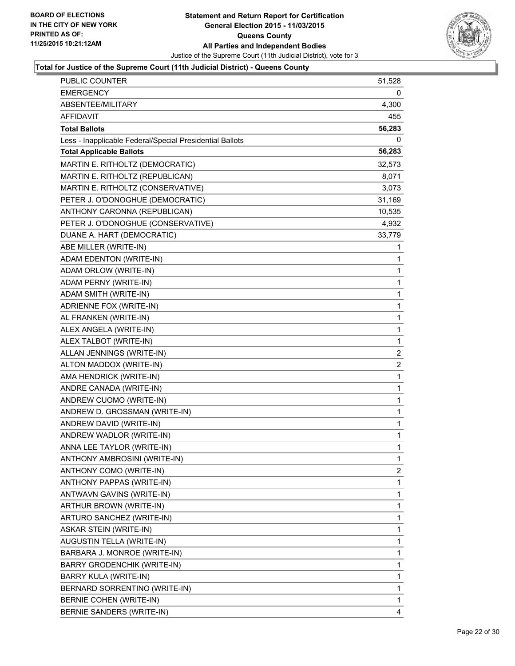

| PUBLIC COUNTER                                           | 51,528       |
|----------------------------------------------------------|--------------|
| <b>EMERGENCY</b>                                         | 0            |
| ABSENTEE/MILITARY                                        | 4,300        |
| AFFIDAVIT                                                | 455          |
| <b>Total Ballots</b>                                     | 56,283       |
| Less - Inapplicable Federal/Special Presidential Ballots | 0            |
| <b>Total Applicable Ballots</b>                          | 56,283       |
| MARTIN E. RITHOLTZ (DEMOCRATIC)                          | 32,573       |
| MARTIN E. RITHOLTZ (REPUBLICAN)                          | 8,071        |
| MARTIN E. RITHOLTZ (CONSERVATIVE)                        | 3,073        |
| PETER J. O'DONOGHUE (DEMOCRATIC)                         | 31,169       |
| ANTHONY CARONNA (REPUBLICAN)                             | 10,535       |
| PETER J. O'DONOGHUE (CONSERVATIVE)                       | 4,932        |
| DUANE A. HART (DEMOCRATIC)                               | 33,779       |
| ABE MILLER (WRITE-IN)                                    | 1            |
| ADAM EDENTON (WRITE-IN)                                  | 1            |
| ADAM ORLOW (WRITE-IN)                                    | 1            |
| ADAM PERNY (WRITE-IN)                                    | 1            |
| ADAM SMITH (WRITE-IN)                                    | 1            |
| ADRIENNE FOX (WRITE-IN)                                  | 1            |
| AL FRANKEN (WRITE-IN)                                    | 1            |
| ALEX ANGELA (WRITE-IN)                                   | 1            |
| ALEX TALBOT (WRITE-IN)                                   | 1            |
| ALLAN JENNINGS (WRITE-IN)                                | 2            |
| ALTON MADDOX (WRITE-IN)                                  | 2            |
| AMA HENDRICK (WRITE-IN)                                  | 1            |
| ANDRE CANADA (WRITE-IN)                                  | 1            |
| ANDREW CUOMO (WRITE-IN)                                  | 1            |
| ANDREW D. GROSSMAN (WRITE-IN)                            | 1            |
| ANDREW DAVID (WRITE-IN)                                  | 1            |
| ANDREW WADLOR (WRITE-IN)                                 | $\mathbf{1}$ |
| ANNA LEE TAYLOR (WRITE-IN)                               | 1            |
| ANTHONY AMBROSINI (WRITE-IN)                             | 1            |
| ANTHONY COMO (WRITE-IN)                                  | 2            |
| ANTHONY PAPPAS (WRITE-IN)                                | 1            |
| ANTWAVN GAVINS (WRITE-IN)                                | 1            |
| ARTHUR BROWN (WRITE-IN)                                  | 1            |
| ARTURO SANCHEZ (WRITE-IN)                                | 1            |
| ASKAR STEIN (WRITE-IN)                                   | 1            |
| AUGUSTIN TELLA (WRITE-IN)                                | 1            |
| BARBARA J. MONROE (WRITE-IN)                             | 1            |
| BARRY GRODENCHIK (WRITE-IN)                              | 1            |
| BARRY KULA (WRITE-IN)                                    | 1            |
| BERNARD SORRENTINO (WRITE-IN)                            | 1            |
| BERNIE COHEN (WRITE-IN)                                  | 1            |
| BERNIE SANDERS (WRITE-IN)                                | 4            |
|                                                          |              |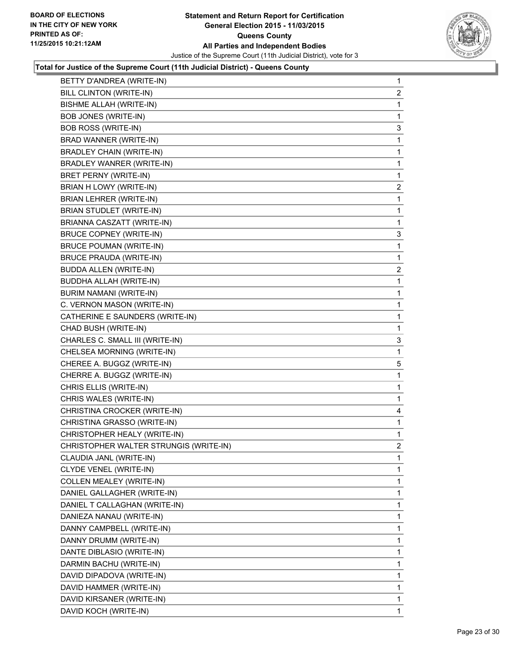

| BETTY D'ANDREA (WRITE-IN)              | $\mathbf 1$    |
|----------------------------------------|----------------|
| BILL CLINTON (WRITE-IN)                | $\overline{a}$ |
| BISHME ALLAH (WRITE-IN)                | 1              |
| <b>BOB JONES (WRITE-IN)</b>            | 1              |
| <b>BOB ROSS (WRITE-IN)</b>             | 3              |
| BRAD WANNER (WRITE-IN)                 | 1              |
| <b>BRADLEY CHAIN (WRITE-IN)</b>        | 1              |
| BRADLEY WANRER (WRITE-IN)              | 1              |
| BRET PERNY (WRITE-IN)                  | 1              |
| BRIAN H LOWY (WRITE-IN)                | 2              |
| BRIAN LEHRER (WRITE-IN)                | 1              |
| BRIAN STUDLET (WRITE-IN)               | 1              |
| BRIANNA CASZATT (WRITE-IN)             | 1              |
| <b>BRUCE COPNEY (WRITE-IN)</b>         | 3              |
| <b>BRUCE POUMAN (WRITE-IN)</b>         | 1              |
| <b>BRUCE PRAUDA (WRITE-IN)</b>         | 1              |
| <b>BUDDA ALLEN (WRITE-IN)</b>          | $\overline{c}$ |
| <b>BUDDHA ALLAH (WRITE-IN)</b>         | 1              |
| BURIM NAMANI (WRITE-IN)                | 1              |
| C. VERNON MASON (WRITE-IN)             | 1              |
| CATHERINE E SAUNDERS (WRITE-IN)        | 1              |
| CHAD BUSH (WRITE-IN)                   | 1              |
| CHARLES C. SMALL III (WRITE-IN)        | 3              |
| CHELSEA MORNING (WRITE-IN)             | 1              |
| CHEREE A. BUGGZ (WRITE-IN)             | 5              |
| CHERRE A. BUGGZ (WRITE-IN)             | 1              |
| CHRIS ELLIS (WRITE-IN)                 | 1              |
| CHRIS WALES (WRITE-IN)                 | 1              |
| CHRISTINA CROCKER (WRITE-IN)           | 4              |
| CHRISTINA GRASSO (WRITE-IN)            | 1              |
| CHRISTOPHER HEALY (WRITE-IN)           | 1              |
| CHRISTOPHER WALTER STRUNGIS (WRITE-IN) | 2              |
| CLAUDIA JANL (WRITE-IN)                | 1              |
| CLYDE VENEL (WRITE-IN)                 | 1              |
| COLLEN MEALEY (WRITE-IN)               | 1              |
| DANIEL GALLAGHER (WRITE-IN)            | 1              |
| DANIEL T CALLAGHAN (WRITE-IN)          | 1              |
| DANIEZA NANAU (WRITE-IN)               | 1              |
| DANNY CAMPBELL (WRITE-IN)              | 1              |
| DANNY DRUMM (WRITE-IN)                 | 1              |
| DANTE DIBLASIO (WRITE-IN)              | 1              |
| DARMIN BACHU (WRITE-IN)                | 1              |
| DAVID DIPADOVA (WRITE-IN)              | 1              |
| DAVID HAMMER (WRITE-IN)                | 1              |
| DAVID KIRSANER (WRITE-IN)              | 1              |
| DAVID KOCH (WRITE-IN)                  | 1              |
|                                        |                |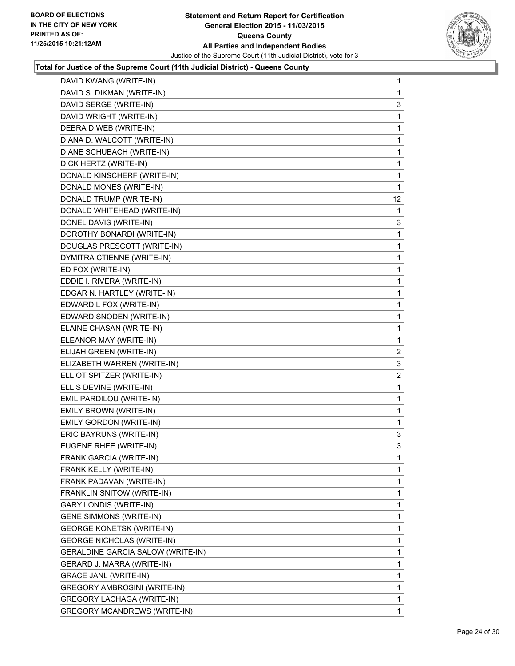

| DAVID KWANG (WRITE-IN)                   | 1              |
|------------------------------------------|----------------|
| DAVID S. DIKMAN (WRITE-IN)               | 1              |
| DAVID SERGE (WRITE-IN)                   | 3              |
| DAVID WRIGHT (WRITE-IN)                  | 1              |
| DEBRA D WEB (WRITE-IN)                   | 1              |
| DIANA D. WALCOTT (WRITE-IN)              | 1              |
| DIANE SCHUBACH (WRITE-IN)                | 1              |
| DICK HERTZ (WRITE-IN)                    | 1              |
| DONALD KINSCHERF (WRITE-IN)              | 1              |
| DONALD MONES (WRITE-IN)                  | 1              |
| DONALD TRUMP (WRITE-IN)                  | 12             |
| DONALD WHITEHEAD (WRITE-IN)              | 1              |
| DONEL DAVIS (WRITE-IN)                   | 3              |
| DOROTHY BONARDI (WRITE-IN)               | 1              |
| DOUGLAS PRESCOTT (WRITE-IN)              | 1              |
| DYMITRA CTIENNE (WRITE-IN)               | 1              |
| ED FOX (WRITE-IN)                        | 1              |
| EDDIE I. RIVERA (WRITE-IN)               | 1              |
| EDGAR N. HARTLEY (WRITE-IN)              | 1              |
| EDWARD L FOX (WRITE-IN)                  | 1              |
| EDWARD SNODEN (WRITE-IN)                 | 1              |
| ELAINE CHASAN (WRITE-IN)                 | 1              |
| ELEANOR MAY (WRITE-IN)                   | 1              |
| ELIJAH GREEN (WRITE-IN)                  | $\overline{2}$ |
| ELIZABETH WARREN (WRITE-IN)              | 3              |
| ELLIOT SPITZER (WRITE-IN)                | $\overline{a}$ |
| ELLIS DEVINE (WRITE-IN)                  | 1              |
| EMIL PARDILOU (WRITE-IN)                 | 1              |
| EMILY BROWN (WRITE-IN)                   | 1              |
| <b>EMILY GORDON (WRITE-IN)</b>           | 1              |
| ERIC BAYRUNS (WRITE-IN)                  | 3              |
| EUGENE RHEE (WRITE-IN)                   | 3              |
| FRANK GARCIA (WRITE-IN)                  | 1              |
| FRANK KELLY (WRITE-IN)                   | 1              |
| FRANK PADAVAN (WRITE-IN)                 | 1              |
| FRANKLIN SNITOW (WRITE-IN)               | 1              |
| <b>GARY LONDIS (WRITE-IN)</b>            | 1              |
| <b>GENE SIMMONS (WRITE-IN)</b>           | 1              |
| <b>GEORGE KONETSK (WRITE-IN)</b>         | 1              |
| <b>GEORGE NICHOLAS (WRITE-IN)</b>        | 1              |
| <b>GERALDINE GARCIA SALOW (WRITE-IN)</b> | 1              |
| GERARD J. MARRA (WRITE-IN)               | 1              |
| <b>GRACE JANL (WRITE-IN)</b>             | 1              |
| GREGORY AMBROSINI (WRITE-IN)             | 1              |
| GREGORY LACHAGA (WRITE-IN)               | 1              |
| GREGORY MCANDREWS (WRITE-IN)             | 1.             |
|                                          |                |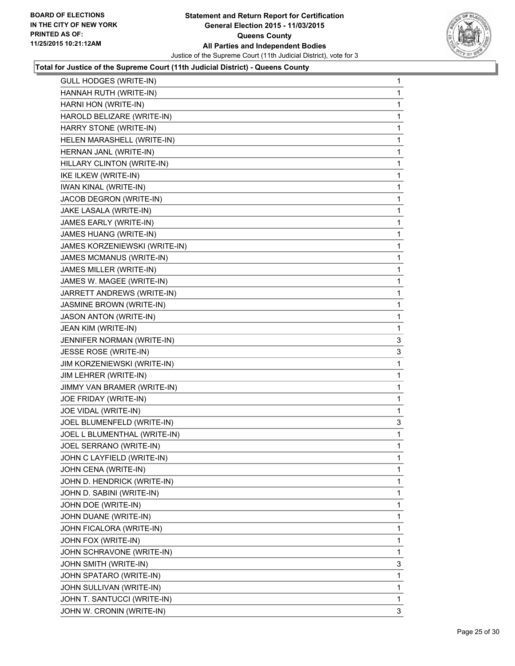

| GULL HODGES (WRITE-IN)        | 1 |
|-------------------------------|---|
| HANNAH RUTH (WRITE-IN)        | 1 |
| HARNI HON (WRITE-IN)          | 1 |
| HAROLD BELIZARE (WRITE-IN)    | 1 |
| HARRY STONE (WRITE-IN)        | 1 |
| HELEN MARASHELL (WRITE-IN)    | 1 |
| HERNAN JANL (WRITE-IN)        | 1 |
| HILLARY CLINTON (WRITE-IN)    | 1 |
| IKE ILKEW (WRITE-IN)          | 1 |
| <b>IWAN KINAL (WRITE-IN)</b>  | 1 |
| JACOB DEGRON (WRITE-IN)       | 1 |
| JAKE LASALA (WRITE-IN)        | 1 |
| JAMES EARLY (WRITE-IN)        | 1 |
| JAMES HUANG (WRITE-IN)        | 1 |
| JAMES KORZENIEWSKI (WRITE-IN) | 1 |
| JAMES MCMANUS (WRITE-IN)      | 1 |
| JAMES MILLER (WRITE-IN)       | 1 |
| JAMES W. MAGEE (WRITE-IN)     | 1 |
| JARRETT ANDREWS (WRITE-IN)    | 1 |
| JASMINE BROWN (WRITE-IN)      | 1 |
| <b>JASON ANTON (WRITE-IN)</b> | 1 |
| JEAN KIM (WRITE-IN)           | 1 |
| JENNIFER NORMAN (WRITE-IN)    | 3 |
| JESSE ROSE (WRITE-IN)         | 3 |
| JIM KORZENIEWSKI (WRITE-IN)   | 1 |
| JIM LEHRER (WRITE-IN)         | 1 |
| JIMMY VAN BRAMER (WRITE-IN)   | 1 |
| JOE FRIDAY (WRITE-IN)         | 1 |
| JOE VIDAL (WRITE-IN)          | 1 |
| JOEL BLUMENFELD (WRITE-IN)    | 3 |
| JOEL L BLUMENTHAL (WRITE-IN)  | 1 |
| JOEL SERRANO (WRITE-IN)       | 1 |
| JOHN C LAYFIELD (WRITE-IN)    | 1 |
| JOHN CENA (WRITE-IN)          | 1 |
| JOHN D. HENDRICK (WRITE-IN)   | 1 |
| JOHN D. SABINI (WRITE-IN)     | 1 |
| JOHN DOE (WRITE-IN)           | 1 |
| JOHN DUANE (WRITE-IN)         | 1 |
| JOHN FICALORA (WRITE-IN)      | 1 |
| JOHN FOX (WRITE-IN)           | 1 |
| JOHN SCHRAVONE (WRITE-IN)     | 1 |
| JOHN SMITH (WRITE-IN)         | 3 |
| JOHN SPATARO (WRITE-IN)       | 1 |
| JOHN SULLIVAN (WRITE-IN)      | 1 |
| JOHN T. SANTUCCI (WRITE-IN)   | 1 |
| JOHN W. CRONIN (WRITE-IN)     | 3 |
|                               |   |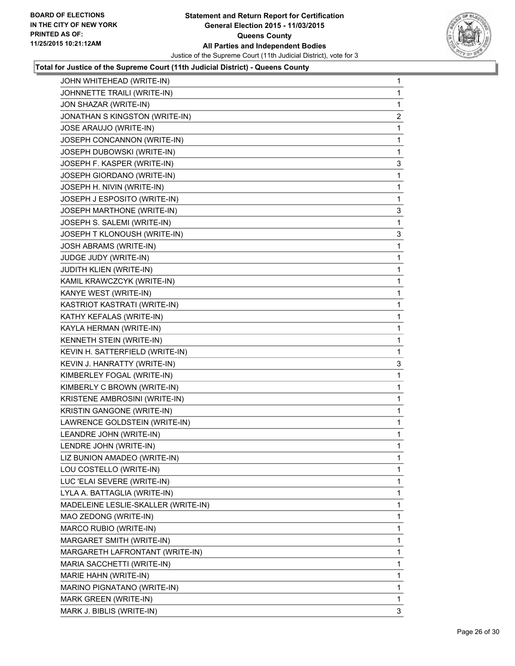

| JOHN WHITEHEAD (WRITE-IN)           | 1 |
|-------------------------------------|---|
| JOHNNETTE TRAILI (WRITE-IN)         | 1 |
| JON SHAZAR (WRITE-IN)               | 1 |
| JONATHAN S KINGSTON (WRITE-IN)      | 2 |
| JOSE ARAUJO (WRITE-IN)              | 1 |
| JOSEPH CONCANNON (WRITE-IN)         | 1 |
| JOSEPH DUBOWSKI (WRITE-IN)          | 1 |
| JOSEPH F. KASPER (WRITE-IN)         | 3 |
| JOSEPH GIORDANO (WRITE-IN)          | 1 |
| JOSEPH H. NIVIN (WRITE-IN)          | 1 |
| JOSEPH J ESPOSITO (WRITE-IN)        | 1 |
| JOSEPH MARTHONE (WRITE-IN)          | 3 |
| JOSEPH S. SALEMI (WRITE-IN)         | 1 |
| JOSEPH T KLONOUSH (WRITE-IN)        | 3 |
| JOSH ABRAMS (WRITE-IN)              | 1 |
| JUDGE JUDY (WRITE-IN)               | 1 |
| <b>JUDITH KLIEN (WRITE-IN)</b>      | 1 |
| KAMIL KRAWCZCYK (WRITE-IN)          | 1 |
| KANYE WEST (WRITE-IN)               | 1 |
| KASTRIOT KASTRATI (WRITE-IN)        | 1 |
| KATHY KEFALAS (WRITE-IN)            | 1 |
| KAYLA HERMAN (WRITE-IN)             | 1 |
| KENNETH STEIN (WRITE-IN)            | 1 |
| KEVIN H. SATTERFIELD (WRITE-IN)     | 1 |
| KEVIN J. HANRATTY (WRITE-IN)        | 3 |
| KIMBERLEY FOGAL (WRITE-IN)          | 1 |
| KIMBERLY C BROWN (WRITE-IN)         | 1 |
| KRISTENE AMBROSINI (WRITE-IN)       | 1 |
| KRISTIN GANGONE (WRITE-IN)          | 1 |
| LAWRENCE GOLDSTEIN (WRITE-IN)       | 1 |
| LEANDRE JOHN (WRITE-IN)             | 1 |
| LENDRE JOHN (WRITE-IN)              | 1 |
| LIZ BUNION AMADEO (WRITE-IN)        | 1 |
| LOU COSTELLO (WRITE-IN)             | 1 |
| LUC 'ELAI SEVERE (WRITE-IN)         | 1 |
| LYLA A. BATTAGLIA (WRITE-IN)        | 1 |
| MADELEINE LESLIE-SKALLER (WRITE-IN) | 1 |
| MAO ZEDONG (WRITE-IN)               | 1 |
| MARCO RUBIO (WRITE-IN)              | 1 |
| MARGARET SMITH (WRITE-IN)           | 1 |
| MARGARETH LAFRONTANT (WRITE-IN)     | 1 |
| MARIA SACCHETTI (WRITE-IN)          | 1 |
| MARIE HAHN (WRITE-IN)               | 1 |
| MARINO PIGNATANO (WRITE-IN)         | 1 |
| MARK GREEN (WRITE-IN)               | 1 |
| MARK J. BIBLIS (WRITE-IN)           | 3 |
|                                     |   |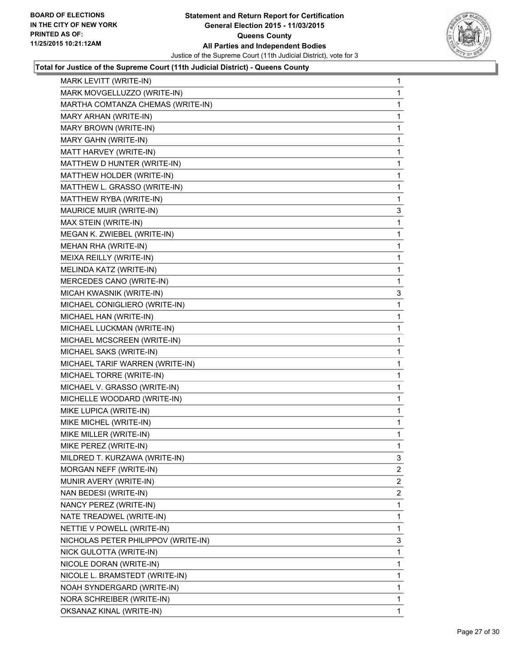

| MARK LEVITT (WRITE-IN)              | 1              |
|-------------------------------------|----------------|
| MARK MOVGELLUZZO (WRITE-IN)         | 1              |
| MARTHA COMTANZA CHEMAS (WRITE-IN)   | 1              |
| MARY ARHAN (WRITE-IN)               | 1              |
| MARY BROWN (WRITE-IN)               | 1              |
| MARY GAHN (WRITE-IN)                | 1              |
| MATT HARVEY (WRITE-IN)              | 1              |
| MATTHEW D HUNTER (WRITE-IN)         | 1              |
| MATTHEW HOLDER (WRITE-IN)           | 1              |
| MATTHEW L. GRASSO (WRITE-IN)        | 1              |
| MATTHEW RYBA (WRITE-IN)             | 1              |
| MAURICE MUIR (WRITE-IN)             | 3              |
| MAX STEIN (WRITE-IN)                | 1              |
| MEGAN K. ZWIEBEL (WRITE-IN)         | 1              |
| MEHAN RHA (WRITE-IN)                | 1              |
| MEIXA REILLY (WRITE-IN)             | 1              |
| MELINDA KATZ (WRITE-IN)             | 1              |
| MERCEDES CANO (WRITE-IN)            | 1              |
| MICAH KWASNIK (WRITE-IN)            | 3              |
| MICHAEL CONIGLIERO (WRITE-IN)       | 1              |
| MICHAEL HAN (WRITE-IN)              | 1              |
| MICHAEL LUCKMAN (WRITE-IN)          | 1              |
| MICHAEL MCSCREEN (WRITE-IN)         | 1              |
| MICHAEL SAKS (WRITE-IN)             | 1              |
| MICHAEL TARIF WARREN (WRITE-IN)     | 1              |
| MICHAEL TORRE (WRITE-IN)            | 1              |
| MICHAEL V. GRASSO (WRITE-IN)        | 1              |
| MICHELLE WOODARD (WRITE-IN)         | 1              |
| MIKE LUPICA (WRITE-IN)              | 1              |
| MIKE MICHEL (WRITE-IN)              | 1              |
| MIKE MILLER (WRITE-IN)              | 1              |
| MIKE PEREZ (WRITE-IN)               | 1              |
| MILDRED T. KURZAWA (WRITE-IN)       | 3              |
| MORGAN NEFF (WRITE-IN)              | 2              |
| MUNIR AVERY (WRITE-IN)              | 2              |
| NAN BEDESI (WRITE-IN)               | $\overline{2}$ |
| NANCY PEREZ (WRITE-IN)              | 1              |
| NATE TREADWEL (WRITE-IN)            | 1              |
| NETTIE V POWELL (WRITE-IN)          | 1              |
| NICHOLAS PETER PHILIPPOV (WRITE-IN) | 3              |
| NICK GULOTTA (WRITE-IN)             | 1              |
| NICOLE DORAN (WRITE-IN)             | 1              |
| NICOLE L. BRAMSTEDT (WRITE-IN)      | 1              |
| NOAH SYNDERGARD (WRITE-IN)          | 1              |
| NORA SCHREIBER (WRITE-IN)           | 1              |
| OKSANAZ KINAL (WRITE-IN)            | 1              |
|                                     |                |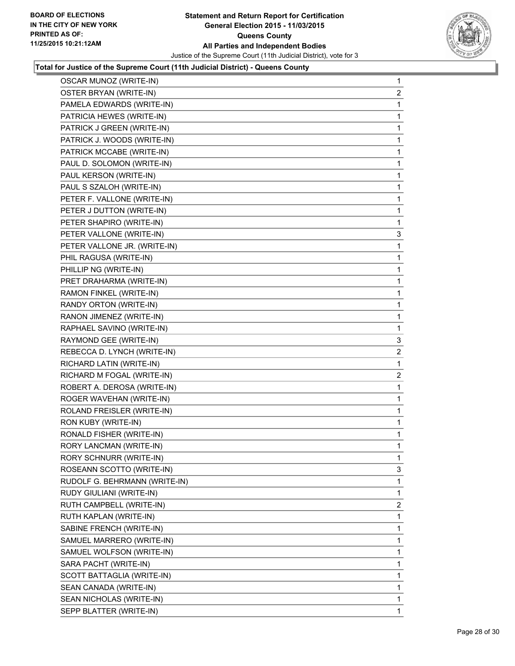

| <b>OSCAR MUNOZ (WRITE-IN)</b> | $\mathbf{1}$   |
|-------------------------------|----------------|
| OSTER BRYAN (WRITE-IN)        | $\overline{a}$ |
| PAMELA EDWARDS (WRITE-IN)     | 1              |
| PATRICIA HEWES (WRITE-IN)     | 1              |
| PATRICK J GREEN (WRITE-IN)    | 1              |
| PATRICK J. WOODS (WRITE-IN)   | 1              |
| PATRICK MCCABE (WRITE-IN)     | 1              |
| PAUL D. SOLOMON (WRITE-IN)    | 1              |
| PAUL KERSON (WRITE-IN)        | 1              |
| PAUL S SZALOH (WRITE-IN)      | 1              |
| PETER F. VALLONE (WRITE-IN)   | 1              |
| PETER J DUTTON (WRITE-IN)     | 1              |
| PETER SHAPIRO (WRITE-IN)      | 1              |
| PETER VALLONE (WRITE-IN)      | 3              |
| PETER VALLONE JR. (WRITE-IN)  | 1              |
| PHIL RAGUSA (WRITE-IN)        | 1              |
| PHILLIP NG (WRITE-IN)         | 1              |
| PRET DRAHARMA (WRITE-IN)      | 1              |
| RAMON FINKEL (WRITE-IN)       | 1              |
| RANDY ORTON (WRITE-IN)        | 1              |
| RANON JIMENEZ (WRITE-IN)      | 1              |
| RAPHAEL SAVINO (WRITE-IN)     | 1              |
| RAYMOND GEE (WRITE-IN)        | 3              |
| REBECCA D. LYNCH (WRITE-IN)   | 2              |
| RICHARD LATIN (WRITE-IN)      | 1              |
| RICHARD M FOGAL (WRITE-IN)    | $\overline{a}$ |
| ROBERT A. DEROSA (WRITE-IN)   | 1              |
| ROGER WAVEHAN (WRITE-IN)      | 1              |
| ROLAND FREISLER (WRITE-IN)    | 1              |
| RON KUBY (WRITE-IN)           | 1              |
| RONALD FISHER (WRITE-IN)      | 1              |
| RORY LANCMAN (WRITE-IN)       | 1              |
| RORY SCHNURR (WRITE-IN)       | 1              |
| ROSEANN SCOTTO (WRITE-IN)     | 3              |
| RUDOLF G. BEHRMANN (WRITE-IN) | 1              |
| RUDY GIULIANI (WRITE-IN)      | 1              |
| RUTH CAMPBELL (WRITE-IN)      | $\overline{2}$ |
| RUTH KAPLAN (WRITE-IN)        | 1              |
| SABINE FRENCH (WRITE-IN)      | 1              |
| SAMUEL MARRERO (WRITE-IN)     | 1              |
| SAMUEL WOLFSON (WRITE-IN)     | 1              |
| SARA PACHT (WRITE-IN)         | 1              |
| SCOTT BATTAGLIA (WRITE-IN)    | 1              |
| SEAN CANADA (WRITE-IN)        | 1              |
| SEAN NICHOLAS (WRITE-IN)      | 1              |
| SEPP BLATTER (WRITE-IN)       | 1              |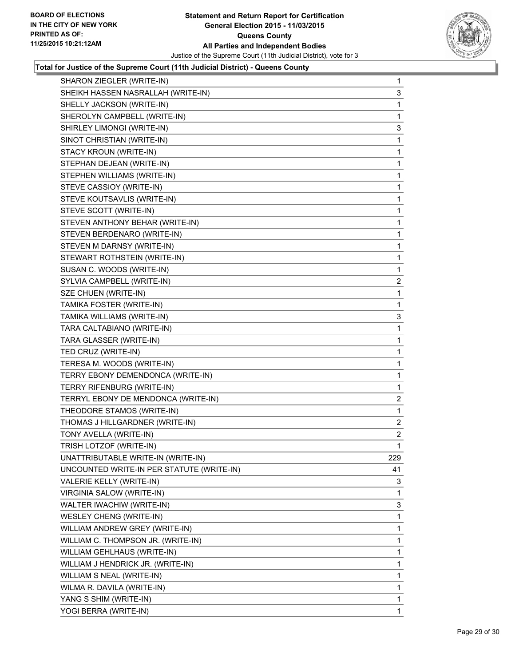

| SHARON ZIEGLER (WRITE-IN)                 | $\mathbf{1}$   |
|-------------------------------------------|----------------|
| SHEIKH HASSEN NASRALLAH (WRITE-IN)        | 3              |
| SHELLY JACKSON (WRITE-IN)                 | 1              |
| SHEROLYN CAMPBELL (WRITE-IN)              | 1              |
| SHIRLEY LIMONGI (WRITE-IN)                | 3              |
| SINOT CHRISTIAN (WRITE-IN)                | 1              |
| STACY KROUN (WRITE-IN)                    | 1              |
| STEPHAN DEJEAN (WRITE-IN)                 | 1              |
| STEPHEN WILLIAMS (WRITE-IN)               | 1              |
| STEVE CASSIOY (WRITE-IN)                  | 1              |
| STEVE KOUTSAVLIS (WRITE-IN)               | 1              |
| STEVE SCOTT (WRITE-IN)                    | 1              |
| STEVEN ANTHONY BEHAR (WRITE-IN)           | 1              |
| STEVEN BERDENARO (WRITE-IN)               | 1              |
| STEVEN M DARNSY (WRITE-IN)                | 1              |
| STEWART ROTHSTEIN (WRITE-IN)              | 1              |
| SUSAN C. WOODS (WRITE-IN)                 | 1              |
| SYLVIA CAMPBELL (WRITE-IN)                | 2              |
| SZE CHUEN (WRITE-IN)                      | 1              |
| TAMIKA FOSTER (WRITE-IN)                  | 1              |
| TAMIKA WILLIAMS (WRITE-IN)                | 3              |
| TARA CALTABIANO (WRITE-IN)                | 1              |
| TARA GLASSER (WRITE-IN)                   | 1              |
| TED CRUZ (WRITE-IN)                       | 1              |
| TERESA M. WOODS (WRITE-IN)                | 1              |
| TERRY EBONY DEMENDONCA (WRITE-IN)         | 1              |
| TERRY RIFENBURG (WRITE-IN)                | 1              |
| TERRYL EBONY DE MENDONCA (WRITE-IN)       | $\overline{2}$ |
| THEODORE STAMOS (WRITE-IN)                | 1              |
| THOMAS J HILLGARDNER (WRITE-IN)           | 2              |
| TONY AVELLA (WRITE-IN)                    | $\overline{2}$ |
| TRISH LOTZOF (WRITE-IN)                   | 1              |
| UNATTRIBUTABLE WRITE-IN (WRITE-IN)        | 229            |
| UNCOUNTED WRITE-IN PER STATUTE (WRITE-IN) | 41             |
| VALERIE KELLY (WRITE-IN)                  | 3              |
| <b>VIRGINIA SALOW (WRITE-IN)</b>          | 1              |
| WALTER IWACHIW (WRITE-IN)                 | 3              |
| <b>WESLEY CHENG (WRITE-IN)</b>            | 1              |
| WILLIAM ANDREW GREY (WRITE-IN)            | 1              |
| WILLIAM C. THOMPSON JR. (WRITE-IN)        | 1              |
| WILLIAM GEHLHAUS (WRITE-IN)               | 1              |
| WILLIAM J HENDRICK JR. (WRITE-IN)         | 1              |
| WILLIAM S NEAL (WRITE-IN)                 | 1              |
| WILMA R. DAVILA (WRITE-IN)                | 1              |
| YANG S SHIM (WRITE-IN)                    | 1              |
| YOGI BERRA (WRITE-IN)                     | 1              |